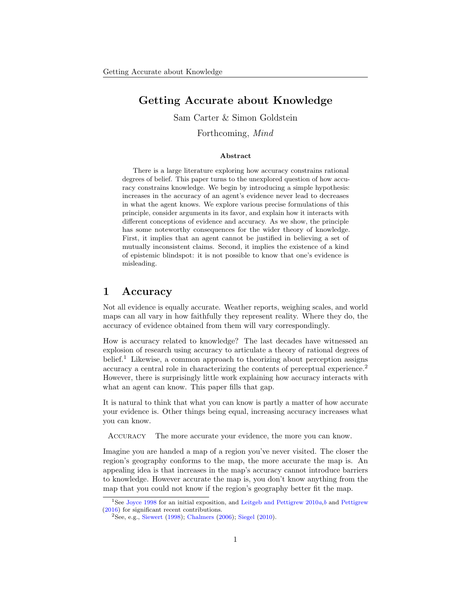# Getting Accurate about Knowledge

Sam Carter & Simon Goldstein

Forthcoming, Mind

#### Abstract

There is a large literature exploring how accuracy constrains rational degrees of belief. This paper turns to the unexplored question of how accuracy constrains knowledge. We begin by introducing a simple hypothesis: increases in the accuracy of an agent's evidence never lead to decreases in what the agent knows. We explore various precise formulations of this principle, consider arguments in its favor, and explain how it interacts with different conceptions of evidence and accuracy. As we show, the principle has some noteworthy consequences for the wider theory of knowledge. First, it implies that an agent cannot be justified in believing a set of mutually inconsistent claims. Second, it implies the existence of a kind of epistemic blindspot: it is not possible to know that one's evidence is misleading.

### <span id="page-0-2"></span>1 Accuracy

Not all evidence is equally accurate. Weather reports, weighing scales, and world maps can all vary in how faithfully they represent reality. Where they do, the accuracy of evidence obtained from them will vary correspondingly.

How is accuracy related to knowledge? The last decades have witnessed an explosion of research using accuracy to articulate a theory of rational degrees of belief.<sup>[1](#page-0-0)</sup> Likewise, a common approach to theorizing about perception assigns accuracy a central role in characterizing the contents of perceptual experience.<sup>[2](#page-0-1)</sup> However, there is surprisingly little work explaining how accuracy interacts with what an agent can know. This paper fills that gap.

It is natural to think that what you can know is partly a matter of how accurate your evidence is. Other things being equal, increasing accuracy increases what you can know.

Accuracy The more accurate your evidence, the more you can know.

Imagine you are handed a map of a region you've never visited. The closer the region's geography conforms to the map, the more accurate the map is. An appealing idea is that increases in the map's accuracy cannot introduce barriers to knowledge. However accurate the map is, you don't know anything from the map that you could not know if the region's geography better fit the map.

<span id="page-0-0"></span><sup>&</sup>lt;sup>1</sup>See [Joyce](#page-26-0) [1998](#page-26-0) for an initial exposition, and [Leitgeb and Pettigrew](#page-26-1)  $2010a$  $2010a$ , [b](#page-26-2) and [Pettigrew](#page-27-0) [\(2016\)](#page-27-0) for significant recent contributions.

<span id="page-0-1"></span><sup>2</sup>See, e.g., [Siewert](#page-27-1) [\(1998\)](#page-27-1); [Chalmers](#page-25-0) [\(2006\)](#page-25-0); [Siegel](#page-27-2) [\(2010\)](#page-27-2).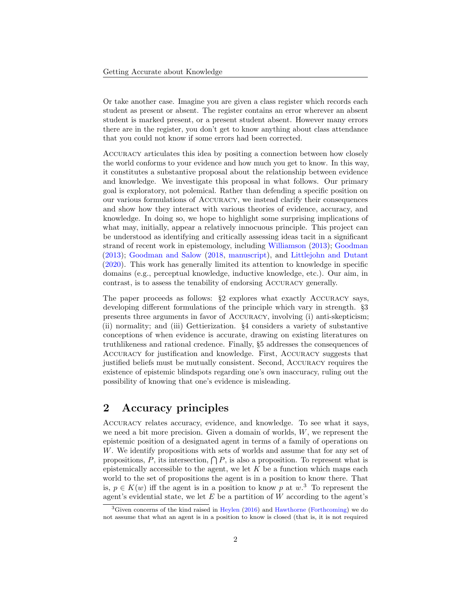Or take another case. Imagine you are given a class register which records each student as present or absent. The register contains an error wherever an absent student is marked present, or a present student absent. However many errors there are in the register, you don't get to know anything about class attendance that you could not know if some errors had been corrected.

Accuracy articulates this idea by positing a connection between how closely the world conforms to your evidence and how much you get to know. In this way, it constitutes a substantive proposal about the relationship between evidence and knowledge. We investigate this proposal in what follows. Our primary goal is exploratory, not polemical. Rather than defending a specific position on our various formulations of Accuracy, we instead clarify their consequences and show how they interact with various theories of evidence, accuracy, and knowledge. In doing so, we hope to highlight some surprising implications of what may, initially, appear a relatively innocuous principle. This project can be understood as identifying and critically assessing ideas tacit in a significant strand of recent work in epistemology, including [Williamson](#page-27-3) [\(2013\)](#page-27-3); [Goodman](#page-25-1) [\(2013\)](#page-25-1); [Goodman and Salow](#page-25-2) [\(2018,](#page-25-2) [manuscript\)](#page-25-3), and [Littlejohn and Dutant](#page-26-3) [\(2020\)](#page-26-3). This work has generally limited its attention to knowledge in specific domains (e.g., perceptual knowledge, inductive knowledge, etc.). Our aim, in contrast, is to assess the tenability of endorsing Accuracy generally.

The paper proceeds as follows: §[2](#page-1-0) explores what exactly Accuracy says, developing different formulations of the principle which vary in strength. §[3](#page-4-0) presents three arguments in favor of Accuracy, involving (i) anti-skepticism; (ii) normality; and (iii) Gettierization. §[4](#page-8-0) considers a variety of substantive conceptions of when evidence is accurate, drawing on existing literatures on truthlikeness and rational credence. Finally, §[5](#page-17-0) addresses the consequences of Accuracy for justification and knowledge. First, Accuracy suggests that justified beliefs must be mutually consistent. Second, Accuracy requires the existence of epistemic blindspots regarding one's own inaccuracy, ruling out the possibility of knowing that one's evidence is misleading.

# <span id="page-1-0"></span>2 Accuracy principles

Accuracy relates accuracy, evidence, and knowledge. To see what it says, we need a bit more precision. Given a domain of worlds,  $W$ , we represent the epistemic position of a designated agent in terms of a family of operations on W. We identify propositions with sets of worlds and assume that for any set of propositions, P, its intersection,  $\bigcap P$ , is also a proposition. To represent what is epistemically accessible to the agent, we let  $K$  be a function which maps each world to the set of propositions the agent is in a position to know there. That is,  $p \in K(w)$  iff the agent is in a position to know p at w.<sup>[3](#page-1-1)</sup> To represent the agent's evidential state, we let  $E$  be a partition of  $W$  according to the agent's

<span id="page-1-1"></span> ${}^{3}$ Given concerns of the kind raised in [Heylen](#page-26-4) [\(2016\)](#page-26-4) and [Hawthorne](#page-26-5) [\(Forthcoming\)](#page-26-5) we do not assume that what an agent is in a position to know is closed (that is, it is not required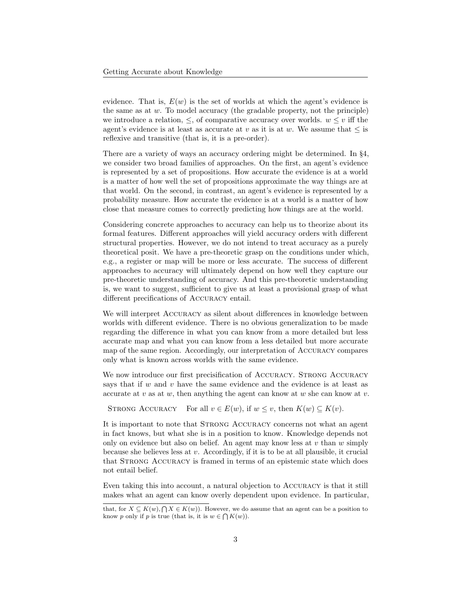evidence. That is,  $E(w)$  is the set of worlds at which the agent's evidence is the same as at  $w$ . To model accuracy (the gradable property, not the principle) we introduce a relation,  $\leq$ , of comparative accuracy over worlds.  $w \leq v$  iff the agent's evidence is at least as accurate at v as it is at w. We assume that  $\leq$  is reflexive and transitive (that is, it is a pre-order).

There are a variety of ways an accuracy ordering might be determined. In §[4,](#page-8-0) we consider two broad families of approaches. On the first, an agent's evidence is represented by a set of propositions. How accurate the evidence is at a world is a matter of how well the set of propositions approximate the way things are at that world. On the second, in contrast, an agent's evidence is represented by a probability measure. How accurate the evidence is at a world is a matter of how close that measure comes to correctly predicting how things are at the world.

Considering concrete approaches to accuracy can help us to theorize about its formal features. Different approaches will yield accuracy orders with different structural properties. However, we do not intend to treat accuracy as a purely theoretical posit. We have a pre-theoretic grasp on the conditions under which, e.g., a register or map will be more or less accurate. The success of different approaches to accuracy will ultimately depend on how well they capture our pre-theoretic understanding of accuracy. And this pre-theoretic understanding is, we want to suggest, sufficient to give us at least a provisional grasp of what different precifications of Accuracy entail.

We will interpret ACCURACY as silent about differences in knowledge between worlds with different evidence. There is no obvious generalization to be made regarding the difference in what you can know from a more detailed but less accurate map and what you can know from a less detailed but more accurate map of the same region. Accordingly, our interpretation of Accuracy compares only what is known across worlds with the same evidence.

We now introduce our first precisification of ACCURACY. STRONG ACCURACY says that if  $w$  and  $v$  have the same evidence and the evidence is at least as accurate at v as at w, then anything the agent can know at w she can know at v.

```
STRONG ACCURACY For all v \in E(w), if w \leq v, then K(w) \subseteq K(v).
```
It is important to note that STRONG ACCURACY concerns not what an agent in fact knows, but what she is in a position to know. Knowledge depends not only on evidence but also on belief. An agent may know less at  $v$  than  $w$  simply because she believes less at  $v$ . Accordingly, if it is to be at all plausible, it crucial that STRONG ACCURACY is framed in terms of an epistemic state which does not entail belief.

Even taking this into account, a natural objection to Accuracy is that it still makes what an agent can know overly dependent upon evidence. In particular,

that, for  $X \subseteq K(w), \bigcap X \in K(w)$ . However, we do assume that an agent can be a position to know p only if p is true (that is, it is  $w \in \bigcap K(w)$ ).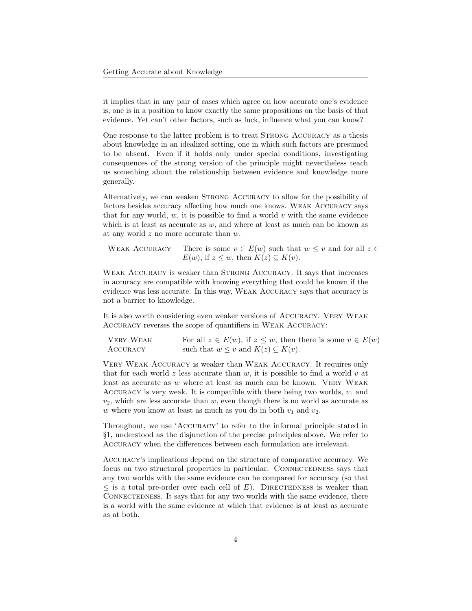it implies that in any pair of cases which agree on how accurate one's evidence is, one is in a position to know exactly the same propositions on the basis of that evidence. Yet can't other factors, such as luck, influence what you can know?

One response to the latter problem is to treat STRONG ACCURACY as a thesis about knowledge in an idealized setting, one in which such factors are presumed to be absent. Even if it holds only under special conditions, investigating consequences of the strong version of the principle might nevertheless teach us something about the relationship between evidence and knowledge more generally.

Alternatively, we can weaken Strong Accuracy to allow for the possibility of factors besides accuracy affecting how much one knows. Weak Accuracy says that for any world, w, it is possible to find a world v with the same evidence which is at least as accurate as  $w$ , and where at least as much can be known as at any world z no more accurate than w.

WEAK ACCURACY There is some  $v \in E(w)$  such that  $w \leq v$  and for all  $z \in$  $E(w)$ , if  $z \leq w$ , then  $K(z) \subseteq K(v)$ .

WEAK ACCURACY is weaker than STRONG ACCURACY. It says that increases in accuracy are compatible with knowing everything that could be known if the evidence was less accurate. In this way, Weak Accuracy says that accuracy is not a barrier to knowledge.

It is also worth considering even weaker versions of Accuracy. Very Weak Accuracy reverses the scope of quantifiers in Weak Accuracy:

| VERY WEAK | For all $z \in E(w)$ , if $z \leq w$ , then there is some $v \in E(w)$ |
|-----------|------------------------------------------------------------------------|
| ACCURACY  | such that $w \leq v$ and $K(z) \subseteq K(v)$ .                       |

Very Weak Accuracy is weaker than Weak Accuracy. It requires only that for each world z less accurate than  $w$ , it is possible to find a world  $v$  at least as accurate as  $w$  where at least as much can be known. VERY WEAK ACCURACY is very weak. It is compatible with there being two worlds,  $v_1$  and  $v_2$ , which are less accurate than w, even though there is no world as accurate as w where you know at least as much as you do in both  $v_1$  and  $v_2$ .

Throughout, we use 'Accuracy' to refer to the informal principle stated in §[1,](#page-0-2) understood as the disjunction of the precise principles above. We refer to Accuracy when the differences between each formulation are irrelevant.

Accuracy's implications depend on the structure of comparative accuracy. We focus on two structural properties in particular. CONNECTEDNESS says that any two worlds with the same evidence can be compared for accuracy (so that  $\leq$  is a total pre-order over each cell of E). DIRECTEDNESS is weaker than CONNECTEDNESS. It says that for any two worlds with the same evidence, there is a world with the same evidence at which that evidence is at least as accurate as at both.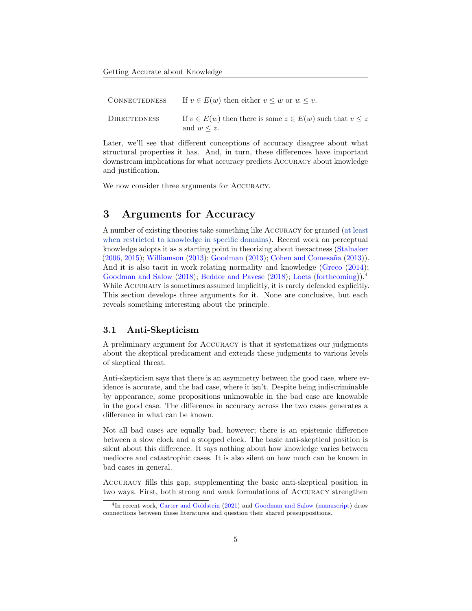| <b>CONNECTEDNESS</b> | If $v \in E(w)$ then either $v \leq w$ or $w \leq v$ .                                   |
|----------------------|------------------------------------------------------------------------------------------|
| <b>DIRECTEDNESS</b>  | If $v \in E(w)$ then there is some $z \in E(w)$ such that $v \leq z$<br>and $w \leq z$ . |

Later, we'll see that different conceptions of accuracy disagree about what structural properties it has. And, in turn, these differences have important downstream implications for what accuracy predicts Accuracy about knowledge and justification.

We now consider three arguments for Accuracy.

## <span id="page-4-0"></span>3 Arguments for Accuracy

A number of existing theories take something like Accuracy for granted (at least when restricted to knowledge in specific domains). Recent work on perceptual knowledge adopts it as a starting point in theorizing about inexactness [\(Stalnaker](#page-27-4)  $(2006, 2015)$  $(2006, 2015)$  $(2006, 2015)$ ; [Williamson](#page-27-3)  $(2013)$ ; [Goodman](#page-25-1)  $(2013)$ ; Cohen and Comesaña  $(2013)$ ). And it is also tacit in work relating normality and knowledge [\(Greco](#page-26-6) [\(2014\)](#page-26-6); [Goodman and Salow](#page-25-2) [\(2018\)](#page-25-5); [Beddor and Pavese](#page-25-5) (2018); [Loets](#page-26-7) [\(forthcoming\)](#page-26-7)).<sup>[4](#page-4-1)</sup> While ACCURACY is sometimes assumed implicitly, it is rarely defended explicitly. This section develops three arguments for it. None are conclusive, but each reveals something interesting about the principle.

### <span id="page-4-2"></span>3.1 Anti-Skepticism

A preliminary argument for Accuracy is that it systematizes our judgments about the skeptical predicament and extends these judgments to various levels of skeptical threat.

Anti-skepticism says that there is an asymmetry between the good case, where evidence is accurate, and the bad case, where it isn't. Despite being indiscriminable by appearance, some propositions unknowable in the bad case are knowable in the good case. The difference in accuracy across the two cases generates a difference in what can be known.

Not all bad cases are equally bad, however; there is an epistemic difference between a slow clock and a stopped clock. The basic anti-skeptical position is silent about this difference. It says nothing about how knowledge varies between mediocre and catastrophic cases. It is also silent on how much can be known in bad cases in general.

Accuracy fills this gap, supplementing the basic anti-skeptical position in two ways. First, both strong and weak formulations of Accuracy strengthen

<span id="page-4-1"></span><sup>&</sup>lt;sup>4</sup>In recent work, [Carter and Goldstein](#page-25-6) [\(2021\)](#page-25-6) and [Goodman and Salow](#page-25-3) [\(manuscript\)](#page-25-3) draw connections between these literatures and question their shared presuppositions.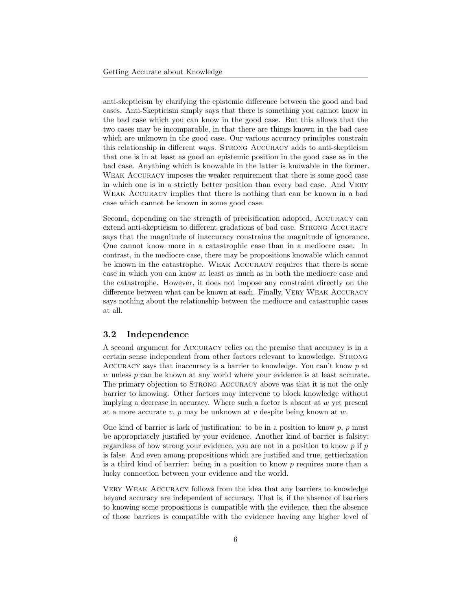anti-skepticism by clarifying the epistemic difference between the good and bad cases. Anti-Skepticism simply says that there is something you cannot know in the bad case which you can know in the good case. But this allows that the two cases may be incomparable, in that there are things known in the bad case which are unknown in the good case. Our various accuracy principles constrain this relationship in different ways. STRONG ACCURACY adds to anti-skepticism that one is in at least as good an epistemic position in the good case as in the bad case. Anything which is knowable in the latter is knowable in the former. Weak Accuracy imposes the weaker requirement that there is some good case in which one is in a strictly better position than every bad case. And Very Weak Accuracy implies that there is nothing that can be known in a bad case which cannot be known in some good case.

Second, depending on the strength of precisification adopted, Accuracy can extend anti-skepticism to different gradations of bad case. STRONG ACCURACY says that the magnitude of inaccuracy constrains the magnitude of ignorance. One cannot know more in a catastrophic case than in a mediocre case. In contrast, in the mediocre case, there may be propositions knowable which cannot be known in the catastrophe. Weak Accuracy requires that there is some case in which you can know at least as much as in both the mediocre case and the catastrophe. However, it does not impose any constraint directly on the difference between what can be known at each. Finally, Very Weak Accuracy says nothing about the relationship between the mediocre and catastrophic cases at all.

### 3.2 Independence

A second argument for Accuracy relies on the premise that accuracy is in a certain sense independent from other factors relevant to knowledge. Strong ACCURACY says that inaccuracy is a barrier to knowledge. You can't know  $p$  at w unless p can be known at any world where your evidence is at least accurate. The primary objection to STRONG ACCURACY above was that it is not the only barrier to knowing. Other factors may intervene to block knowledge without implying a decrease in accuracy. Where such a factor is absent at  $w$  yet present at a more accurate  $v, p$  may be unknown at  $v$  despite being known at  $w$ .

One kind of barrier is lack of justification: to be in a position to know  $p$ ,  $p$  must be appropriately justified by your evidence. Another kind of barrier is falsity: regardless of how strong your evidence, you are not in a position to know  $p$  if  $p$ is false. And even among propositions which are justified and true, gettierization is a third kind of barrier: being in a position to know  $p$  requires more than a lucky connection between your evidence and the world.

Very Weak Accuracy follows from the idea that any barriers to knowledge beyond accuracy are independent of accuracy. That is, if the absence of barriers to knowing some propositions is compatible with the evidence, then the absence of those barriers is compatible with the evidence having any higher level of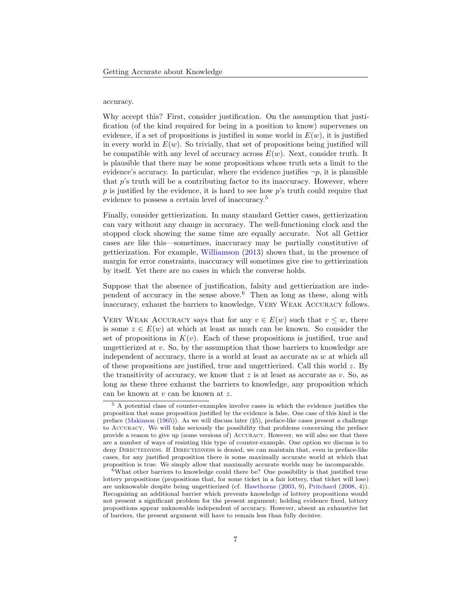#### accuracy.

Why accept this? First, consider justification. On the assumption that justification (of the kind required for being in a position to know) supervenes on evidence, if a set of propositions is justified in some world in  $E(w)$ , it is justified in every world in  $E(w)$ . So trivially, that set of propositions being justified will be compatible with any level of accuracy across  $E(w)$ . Next, consider truth. It is plausible that there may be some propositions whose truth sets a limit to the evidence's accuracy. In particular, where the evidence justifies  $\neg p$ , it is plausible that p's truth will be a contributing factor to its inaccuracy. However, where  $p$  is justified by the evidence, it is hard to see how  $p$ 's truth could require that evidence to possess a certain level of inaccuracy.[5](#page-6-0)

Finally, consider gettierization. In many standard Gettier cases, gettierization can vary without any change in accuracy. The well-functioning clock and the stopped clock showing the same time are equally accurate. Not all Gettier cases are like this—sometimes, inaccuracy may be partially constitutive of gettierization. For example, [Williamson](#page-27-3) [\(2013\)](#page-27-3) shows that, in the presence of margin for error constraints, inaccuracy will sometimes give rise to gettierization by itself. Yet there are no cases in which the converse holds.

Suppose that the absence of justification, falsity and gettierization are inde-pendent of accuracy in the sense above.<sup>[6](#page-6-1)</sup> Then as long as these, along with inaccuracy, exhaust the barriers to knowledge, Very Weak Accuracy follows.

VERY WEAK ACCURACY says that for any  $v \in E(w)$  such that  $v \leq w$ , there is some  $z \in E(w)$  at which at least as much can be known. So consider the set of propositions in  $K(v)$ . Each of these propositions is justified, true and ungettierized at  $v$ . So, by the assumption that those barriers to knowledge are independent of accuracy, there is a world at least as accurate as  $w$  at which all of these propositions are justified, true and ungettierized. Call this world  $z$ . By the transitivity of accuracy, we know that  $z$  is at least as accurate as  $v$ . So, as long as these three exhaust the barriers to knowledge, any proposition which can be known at  $v$  can be known at  $z$ .

<span id="page-6-0"></span> $5$  A potential class of counter-examples involve cases in which the evidence justifies the proposition that some proposition justified by the evidence is false. One case of this kind is the preface [\(Makinson](#page-26-8) [\(1965\)](#page-26-8)). As we will discuss later (§[5\)](#page-17-0), preface-like cases present a challenge to Accuracy. We will take seriously the possibility that problems concerning the preface provide a reason to give up (some versions of) Accuracy. However, we will also see that there are a number of ways of resisting this type of counter-example. One option we discuss is to deny DIRECTEDNESS. If DIRECTEDNESS is denied, we can maintain that, even in preface-like cases, for any justified proposition there is some maximally accurate world at which that proposition is true. We simply allow that maximally accurate worlds may be incomparable.

<span id="page-6-1"></span> $6$ What other barriers to knowledge could there be? One possibility is that justified true lottery propositions (propositions that, for some ticket in a fair lottery, that ticket will lose) are unknowable despite being ungettierized (cf. [Hawthorne](#page-26-9) [\(2003,](#page-26-9) 9), [Pritchard](#page-27-6) [\(2008,](#page-27-6) 4)). Recognizing an additional barrier which prevents knowledge of lottery propositions would not present a significant problem for the present argument; holding evidence fixed, lottery propositions appear unknowable independent of accuracy. However, absent an exhaustive list of barriers, the present argument will have to remain less than fully decisive.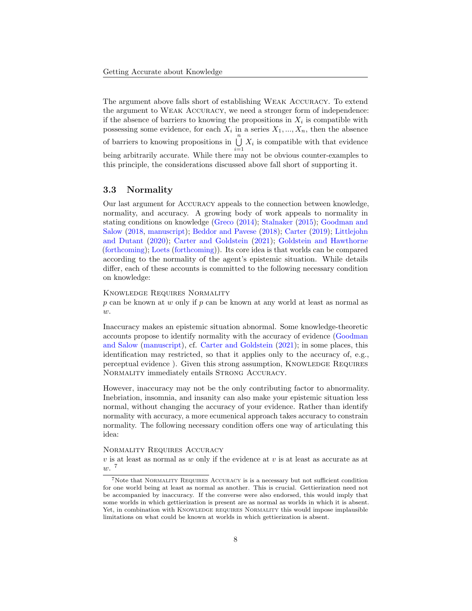The argument above falls short of establishing Weak Accuracy. To extend the argument to Weak Accuracy, we need a stronger form of independence: if the absence of barriers to knowing the propositions in  $X_i$  is compatible with possessing some evidence, for each  $X_i$  in a series  $X_1, ..., X_n$ , then the absence of barriers to knowing propositions in  $\bigcup_{n=1}^{\infty}$  $\bigcup_{i=1} X_i$  is compatible with that evidence being arbitrarily accurate. While there may not be obvious counter-examples to this principle, the considerations discussed above fall short of supporting it.

### 3.3 Normality

Our last argument for Accuracy appeals to the connection between knowledge, normality, and accuracy. A growing body of work appeals to normality in stating conditions on knowledge [\(Greco](#page-26-6) [\(2014\)](#page-26-6); [Stalnaker](#page-27-5) [\(2015\)](#page-27-5); [Goodman and](#page-25-2) [Salow](#page-25-2) [\(2018,](#page-25-2) [manuscript\)](#page-25-3); [Beddor and Pavese](#page-25-5) [\(2018\)](#page-25-5); [Carter](#page-25-7) [\(2019\)](#page-25-7); [Littlejohn](#page-26-3) [and Dutant](#page-26-3) [\(2020\)](#page-26-3); [Carter and Goldstein](#page-25-6) [\(2021\)](#page-25-6); [Goldstein and Hawthorne](#page-25-8) [\(forthcoming\)](#page-25-8); [Loets](#page-26-7) [\(forthcoming\)](#page-26-7)). Its core idea is that worlds can be compared according to the normality of the agent's epistemic situation. While details differ, each of these accounts is committed to the following necessary condition on knowledge:

Knowledge Requires Normality

p can be known at w only if p can be known at any world at least as normal as  $w$ .

Inaccuracy makes an epistemic situation abnormal. Some knowledge-theoretic accounts propose to identify normality with the accuracy of evidence [\(Goodman](#page-25-3) [and Salow](#page-25-3) [\(manuscript\)](#page-25-3), cf. [Carter and Goldstein](#page-25-6) [\(2021\)](#page-25-6); in some places, this identification may restricted, so that it applies only to the accuracy of, e.g., perceptual evidence ). Given this strong assumption, Knowledge Requires NORMALITY immediately entails STRONG ACCURACY.

However, inaccuracy may not be the only contributing factor to abnormality. Inebriation, insomnia, and insanity can also make your epistemic situation less normal, without changing the accuracy of your evidence. Rather than identify normality with accuracy, a more ecumenical approach takes accuracy to constrain normality. The following necessary condition offers one way of articulating this idea:

#### Normality Requires Accuracy

 $v$  is at least as normal as  $w$  only if the evidence at  $v$  is at least as accurate as at w. [7](#page-7-0)

<span id="page-7-0"></span><sup>7</sup>Note that Normality Requires Accuracy is is a necessary but not sufficient condition for one world being at least as normal as another. This is crucial. Gettierization need not be accompanied by inaccuracy. If the converse were also endorsed, this would imply that some worlds in which gettierization is present are as normal as worlds in which it is absent. Yet, in combination with KNOWLEDGE REQUIRES NORMALITY this would impose implausible limitations on what could be known at worlds in which gettierization is absent.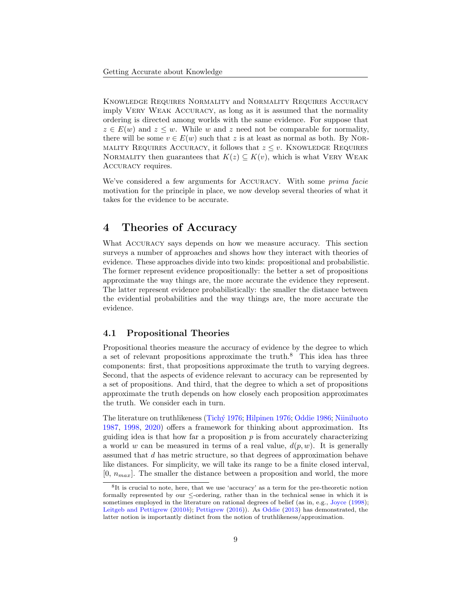Knowledge Requires Normality and Normality Requires Accuracy imply Very Weak Accuracy, as long as it is assumed that the normality ordering is directed among worlds with the same evidence. For suppose that  $z \in E(w)$  and  $z \leq w$ . While w and z need not be comparable for normality, there will be some  $v \in E(w)$  such that z is at least as normal as both. By NOR-MALITY REQUIRES ACCURACY, it follows that  $z \leq v$ . KNOWLEDGE REQUIRES NORMALITY then guarantees that  $K(z) \subseteq K(v)$ , which is what VERY WEAK ACCURACY requires.

We've considered a few arguments for Accuracy. With some prima facie motivation for the principle in place, we now develop several theories of what it takes for the evidence to be accurate.

# <span id="page-8-0"></span>4 Theories of Accuracy

What Accuracy says depends on how we measure accuracy. This section surveys a number of approaches and shows how they interact with theories of evidence. These approaches divide into two kinds: propositional and probabilistic. The former represent evidence propositionally: the better a set of propositions approximate the way things are, the more accurate the evidence they represent. The latter represent evidence probabilistically: the smaller the distance between the evidential probabilities and the way things are, the more accurate the evidence.

#### 4.1 Propositional Theories

Propositional theories measure the accuracy of evidence by the degree to which a set of relevant propositions approximate the truth. $8$  This idea has three components: first, that propositions approximate the truth to varying degrees. Second, that the aspects of evidence relevant to accuracy can be represented by a set of propositions. And third, that the degree to which a set of propositions approximate the truth depends on how closely each proposition approximates the truth. We consider each in turn.

The literature on truthlikeness [\(Tich´y](#page-27-7) [1976;](#page-27-7) [Hilpinen](#page-26-10) [1976;](#page-26-10) [Oddie](#page-27-8) [1986;](#page-27-8) [Niiniluoto](#page-27-9) [1987,](#page-27-9) [1998,](#page-27-10) [2020\)](#page-27-11) offers a framework for thinking about approximation. Its guiding idea is that how far a proposition  $p$  is from accurately characterizing a world w can be measured in terms of a real value,  $d(p, w)$ . It is generally assumed that d has metric structure, so that degrees of approximation behave like distances. For simplicity, we will take its range to be a finite closed interval,  $[0, n_{max}]$ . The smaller the distance between a proposition and world, the more

<span id="page-8-1"></span><sup>8</sup> It is crucial to note, here, that we use 'accuracy' as a term for the pre-theoretic notion formally represented by our  $\leq$ -ordering, rather than in the technical sense in which it is sometimes employed in the literature on rational degrees of belief (as in, e.g., [Joyce](#page-26-0) [\(1998\)](#page-26-0); [Leitgeb and Pettigrew](#page-26-2) [\(2010](#page-26-2)b); [Pettigrew](#page-27-0) [\(2016\)](#page-27-0)). As [Oddie](#page-27-12) [\(2013\)](#page-27-12) has demonstrated, the latter notion is importantly distinct from the notion of truthlikeness/approximation.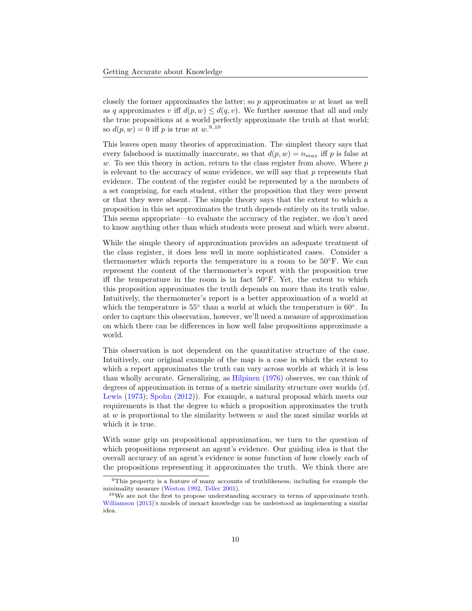closely the former approximates the latter; so  $p$  approximates  $w$  at least as well as q approximates v iff  $d(p, w) \leq d(q, v)$ . We further assume that all and only the true propositions at a world perfectly approximate the truth at that world; so  $d(p, w) = 0$  iff p is true at  $w$ .<sup>[9](#page-9-0),[10](#page-9-1)</sup>

This leaves open many theories of approximation. The simplest theory says that every falsehood is maximally inaccurate, so that  $d(p, w) = n_{max}$  iff p is false at w. To see this theory in action, return to the class register from above. Where  $p$ is relevant to the accuracy of some evidence, we will say that  $p$  represents that evidence. The content of the register could be represented by a the members of a set comprising, for each student, either the proposition that they were present or that they were absent. The simple theory says that the extent to which a proposition in this set approximates the truth depends entirely on its truth value. This seems appropriate—to evaluate the accuracy of the register, we don't need to know anything other than which students were present and which were absent.

While the simple theory of approximation provides an adequate treatment of the class register, it does less well in more sophisticated cases. Consider a thermometer which reports the temperature in a room to be 50◦F. We can represent the content of the thermometer's report with the proposition true iff the temperature in the room is in fact 50◦F. Yet, the extent to which this proposition approximates the truth depends on more than its truth value. Intuitively, the thermometer's report is a better approximation of a world at which the temperature is  $55^{\circ}$  than a world at which the temperature is 60°. In order to capture this observation, however, we'll need a measure of approximation on which there can be differences in how well false propositions approximate a world.

This observation is not dependent on the quantitative structure of the case. Intuitively, our original example of the map is a case in which the extent to which a report approximates the truth can vary across worlds at which it is less than wholly accurate. Generalizing, as [Hilpinen](#page-26-10) [\(1976\)](#page-26-10) observes, we can think of degrees of approximation in terms of a metric similarity structure over worlds (cf. [Lewis](#page-26-11) [\(1973\)](#page-26-11); [Spohn](#page-27-13) [\(2012\)](#page-27-13)). For example, a natural proposal which meets our requirements is that the degree to which a proposition approximates the truth at  $w$  is proportional to the similarity between  $w$  and the most similar worlds at which it is true.

With some grip on propositional approximation, we turn to the question of which propositions represent an agent's evidence. Our guiding idea is that the overall accuracy of an agent's evidence is some function of how closely each of the propositions representing it approximates the truth. We think there are

<span id="page-9-0"></span><sup>9</sup>This property is a feature of many accounts of truthlikeness, including for example the minimality measure [\(Weston](#page-27-14) [1992,](#page-27-14) [Teller](#page-27-15) [2001\)](#page-27-15).

<span id="page-9-1"></span> $10$ We are not the first to propose understanding accuracy in terms of approximate truth. [Williamson](#page-27-3) [\(2013\)](#page-27-3)'s models of inexact knowledge can be understood as implementing a similar idea.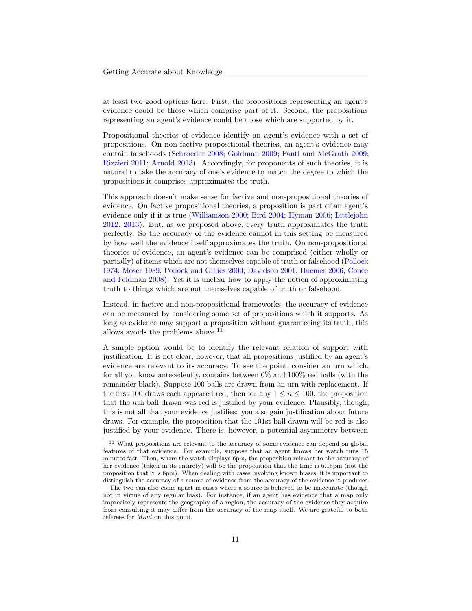at least two good options here. First, the propositions representing an agent's evidence could be those which comprise part of it. Second, the propositions representing an agent's evidence could be those which are supported by it.

Propositional theories of evidence identify an agent's evidence with a set of propositions. On non-factive propositional theories, an agent's evidence may contain falsehoods [\(Schroeder](#page-27-16) [2008;](#page-27-16) [Goldman](#page-25-9) [2009;](#page-25-9) [Fantl and McGrath](#page-25-10) [2009;](#page-25-10) [Rizzieri](#page-27-17) [2011;](#page-27-17) [Arnold](#page-25-11) [2013\)](#page-25-11). Accordingly, for proponents of such theories, it is natural to take the accuracy of one's evidence to match the degree to which the propositions it comprises approximates the truth.

This approach doesn't make sense for factive and non-propositional theories of evidence. On factive propositional theories, a proposition is part of an agent's evidence only if it is true [\(Williamson](#page-27-18) [2000;](#page-27-18) [Bird](#page-25-12) [2004;](#page-25-12) [Hyman](#page-26-12) [2006;](#page-26-12) [Littlejohn](#page-26-13) [2012,](#page-26-13) [2013\)](#page-26-14). But, as we proposed above, every truth approximates the truth perfectly. So the accuracy of the evidence cannot in this setting be measured by how well the evidence itself approximates the truth. On non-propositional theories of evidence, an agent's evidence can be comprised (either wholly or partially) of items which are not themselves capable of truth or falsehood [\(Pollock](#page-27-19) [1974;](#page-27-19) [Moser](#page-26-15) [1989;](#page-26-15) [Pollock and Gillies](#page-27-20) [2000;](#page-27-20) [Davidson](#page-25-13) [2001;](#page-25-13) [Huemer](#page-26-16) [2006;](#page-26-16) [Conee](#page-25-14) [and Feldman](#page-25-14) [2008\)](#page-25-14). Yet it is unclear how to apply the notion of approximating truth to things which are not themselves capable of truth or falsehood.

Instead, in factive and non-propositional frameworks, the accuracy of evidence can be measured by considering some set of propositions which it supports. As long as evidence may support a proposition without guaranteeing its truth, this allows avoids the problems above.[11](#page-10-0)

A simple option would be to identify the relevant relation of support with justification. It is not clear, however, that all propositions justified by an agent's evidence are relevant to its accuracy. To see the point, consider an urn which, for all you know antecedently, contains between 0% and 100% red balls (with the remainder black). Suppose 100 balls are drawn from an urn with replacement. If the first 100 draws each appeared red, then for any  $1 \leq n \leq 100$ , the proposition that the nth ball drawn was red is justified by your evidence. Plausibly, though, this is not all that your evidence justifies: you also gain justification about future draws. For example, the proposition that the 101st ball drawn will be red is also justified by your evidence. There is, however, a potential asymmetry between

<span id="page-10-0"></span><sup>&</sup>lt;sup>11</sup> What propositions are relevant to the accuracy of some evidence can depend on global features of that evidence. For example, suppose that an agent knows her watch runs 15 minutes fast. Then, where the watch displays 6pm, the proposition relevant to the accuracy of her evidence (taken in its entirety) will be the proposition that the time is 6.15pm (not the proposition that it is 6pm). When dealing with cases involving known biases, it is important to distinguish the accuracy of a source of evidence from the accuracy of the evidence it produces.

The two can also come apart in cases where a source is believed to be inaccurate (though not in virtue of any regular bias). For instance, if an agent has evidence that a map only imprecisely represents the geography of a region, the accuracy of the evidence they acquire from consulting it may differ from the accuracy of the map itself. We are grateful to both referees for Mind on this point.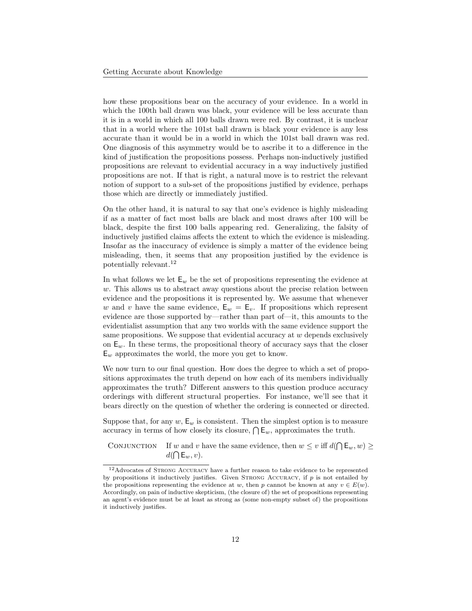how these propositions bear on the accuracy of your evidence. In a world in which the 100th ball drawn was black, your evidence will be less accurate than it is in a world in which all 100 balls drawn were red. By contrast, it is unclear that in a world where the 101st ball drawn is black your evidence is any less accurate than it would be in a world in which the 101st ball drawn was red. One diagnosis of this asymmetry would be to ascribe it to a difference in the kind of justification the propositions possess. Perhaps non-inductively justified propositions are relevant to evidential accuracy in a way inductively justified propositions are not. If that is right, a natural move is to restrict the relevant notion of support to a sub-set of the propositions justified by evidence, perhaps those which are directly or immediately justified.

On the other hand, it is natural to say that one's evidence is highly misleading if as a matter of fact most balls are black and most draws after 100 will be black, despite the first 100 balls appearing red. Generalizing, the falsity of inductively justified claims affects the extent to which the evidence is misleading. Insofar as the inaccuracy of evidence is simply a matter of the evidence being misleading, then, it seems that any proposition justified by the evidence is potentially relevant.[12](#page-11-0)

In what follows we let  $\mathsf{E}_w$  be the set of propositions representing the evidence at  $w$ . This allows us to abstract away questions about the precise relation between evidence and the propositions it is represented by. We assume that whenever w and v have the same evidence,  $E_w = E_v$ . If propositions which represent evidence are those supported by—rather than part of—it, this amounts to the evidentialist assumption that any two worlds with the same evidence support the same propositions. We suppose that evidential accuracy at  $w$  depends exclusively on  $E_w$ . In these terms, the propositional theory of accuracy says that the closer  $E_w$  approximates the world, the more you get to know.

We now turn to our final question. How does the degree to which a set of propositions approximates the truth depend on how each of its members individually approximates the truth? Different answers to this question produce accuracy orderings with different structural properties. For instance, we'll see that it bears directly on the question of whether the ordering is connected or directed.

Suppose that, for any w,  $E_w$  is consistent. Then the simplest option is to measure accuracy in terms of how closely its closure,  $\bigcap \mathsf{E}_w$ , approximates the truth.

CONJUNCTION If w and v have the same evidence, then  $w \leq v$  iff  $d(\bigcap \mathsf{E}_w, w) \geq$  $d(\bigcap \mathsf{E}_w,v).$ 

<span id="page-11-0"></span> $^{12}\mathrm{Advocates}$  of STRONG ACCURACY have a further reason to take evidence to be represented by propositions it inductively justifies. Given STRONG ACCURACY, if  $p$  is not entailed by the propositions representing the evidence at w, then p cannot be known at any  $v \in E(w)$ . Accordingly, on pain of inductive skepticism, (the closure of) the set of propositions representing an agent's evidence must be at least as strong as (some non-empty subset of) the propositions it inductively justifies.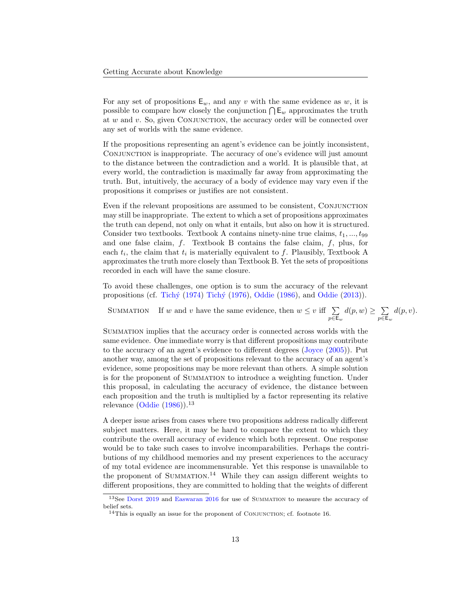For any set of propositions  $E_w$ , and any v with the same evidence as w, it is possible to compare how closely the conjunction  $\bigcap \mathsf{E}_w$  approximates the truth at  $w$  and  $v$ . So, given CONJUNCTION, the accuracy order will be connected over any set of worlds with the same evidence.

If the propositions representing an agent's evidence can be jointly inconsistent, Conjunction is inappropriate. The accuracy of one's evidence will just amount to the distance between the contradiction and a world. It is plausible that, at every world, the contradiction is maximally far away from approximating the truth. But, intuitively, the accuracy of a body of evidence may vary even if the propositions it comprises or justifies are not consistent.

Even if the relevant propositions are assumed to be consistent, Conjunction may still be inappropriate. The extent to which a set of propositions approximates the truth can depend, not only on what it entails, but also on how it is structured. Consider two textbooks. Textbook A contains ninety-nine true claims,  $t_1, ..., t_{99}$ and one false claim,  $f$ . Textbook B contains the false claim,  $f$ , plus, for each  $t_i$ , the claim that  $t_i$  is materially equivalent to f. Plausibly, Textbook A approximates the truth more closely than Textbook B. Yet the sets of propositions recorded in each will have the same closure.

To avoid these challenges, one option is to sum the accuracy of the relevant propositions (cf. Tichý [\(1974\)](#page-27-21) Tichý [\(1976\)](#page-27-7), [Oddie](#page-27-12) [\(1986\)](#page-27-8), and Oddie [\(2013\)](#page-27-12)).

SUMMATION If w and v have the same evidence, then  $w \leq v$  iff  $\sum$  $p\in\mathsf{E}_w$  $d(p, w) \geq \sum$  $p\!\in\!\mathsf{E}_w$  $d(p, v)$ .

Summation implies that the accuracy order is connected across worlds with the same evidence. One immediate worry is that different propositions may contribute to the accuracy of an agent's evidence to different degrees [\(Joyce](#page-26-17) [\(2005\)](#page-26-17)). Put another way, among the set of propositions relevant to the accuracy of an agent's evidence, some propositions may be more relevant than others. A simple solution is for the proponent of Summation to introduce a weighting function. Under this proposal, in calculating the accuracy of evidence, the distance between each proposition and the truth is multiplied by a factor representing its relative relevance  $(Oddie (1986))$  $(Oddie (1986))$  $(Oddie (1986))$  $(Oddie (1986))$ .<sup>[13](#page-12-0)</sup>

A deeper issue arises from cases where two propositions address radically different subject matters. Here, it may be hard to compare the extent to which they contribute the overall accuracy of evidence which both represent. One response would be to take such cases to involve incomparabilities. Perhaps the contributions of my childhood memories and my present experiences to the accuracy of my total evidence are incommensurable. Yet this response is unavailable to the proponent of SUMMATION.<sup>[14](#page-12-1)</sup> While they can assign different weights to different propositions, they are committed to holding that the weights of different

<span id="page-12-0"></span><sup>&</sup>lt;sup>13</sup>See [Dorst](#page-25-15) [2019](#page-25-15) and [Easwaran](#page-25-16) [2016](#page-25-16) for use of SUMMATION to measure the accuracy of belief sets.

<span id="page-12-1"></span><sup>&</sup>lt;sup>14</sup>This is equally an issue for the proponent of CONJUNCTION; cf. footnote [16.](#page-13-0)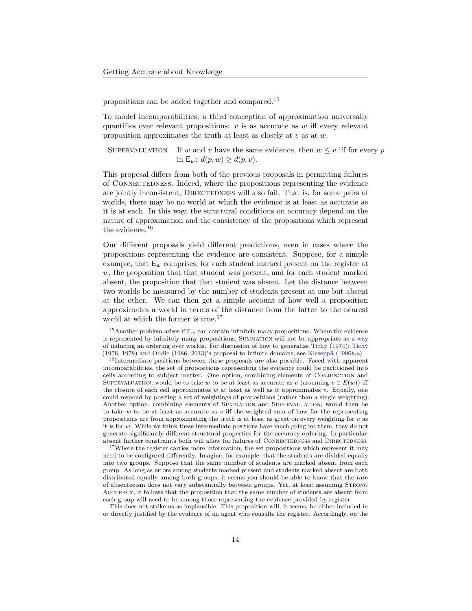propositions can be added together and compared.[15](#page-13-1)

To model incomparabilities, a third conception of approximation universally quantifies over relevant propositions:  $v$  is as accurate as  $w$  iff every relevant proposition approximates the truth at least as closely at  $v$  as at  $w$ .

SUPERVALUATION If w and v have the same evidence, then  $w \leq v$  iff for every p in  $\mathsf{E}_w$ :  $d(p, w) \geq d(p, v)$ .

This proposal differs from both of the previous proposals in permitting failures of Connectedness. Indeed, where the propositions representing the evidence are jointly inconsistent, DIRECTEDNESS will also fail. That is, for some pairs of worlds, there may be no world at which the evidence is at least as accurate as it is at each. In this way, the structural conditions on accuracy depend on the nature of approximation and the consistency of the propositions which represent the evidence.<sup>[16](#page-13-0)</sup>

Our different proposals yield different predictions, even in cases where the propositions representing the evidence are consistent. Suppose, for a simple example, that  $E_w$  comprises, for each student marked present on the register at w, the proposition that that student was present, and for each student marked absent, the proposition that that student was absent. Let the distance between two worlds be measured by the number of students present at one but absent at the other. We can then get a simple account of how well a proposition approximates a world in terms of the distance from the latter to the nearest world at which the former is true.<sup>[17](#page-13-2)</sup>

<span id="page-13-2"></span><sup>17</sup>Where the register carries more information, the set propositions which represent it may need to be configured differently. Imagine, for example, that the students are divided equally into two groups. Suppose that the same number of students are marked absent from each group. As long as errors among students marked present and students marked absent are both distributed equally among both groups, it seems you should be able to know that the rate of absenteeism does not vary substantially between groups. Yet, at least assuming Strong Accuracy, it follows that the proposition that the same number of students are absent from each group will need to be among those representing the evidence provided by register.

This does not strike us as implausible. This proposition will, it seems, be either included in or directly justified by the evidence of an agent who consults the register. Accordingly, on the

<span id="page-13-1"></span><sup>&</sup>lt;sup>15</sup>Another problem arises if  $E_w$  can contain infinitely many propositions. Where the evidence is represented by infinitely many propositions, Summation will not be appropriate as a way of inducing an ordering over worlds. For discussion of how to generalize Tich $\acute{y}$  [\(1974\)](#page-27-21); Tich $\acute{y}$ [\(1976,](#page-27-7) [1978\)](#page-27-22) and [Oddie](#page-27-8) [\(1986,](#page-27-8) [2013\)](#page-27-12)'s proposal to infinite domains, see Kieseppä [\(1996](#page-26-18) $b, a$  $b, a$ ).

<span id="page-13-0"></span><sup>&</sup>lt;sup>16</sup>Intermediate positions between these proposals are also possible. Faced with apparent incomparabilities, the set of propositions representing the evidence could be partitioned into cells according to subject matter. One option, combining elements of Conjunction and SUPERVALUATION, would be to take w to be at least as accurate as v (assuming  $v \in E(w)$ ) iff the closure of each cell approximates w at least as well as it approximates v. Equally, one could respond by positing a set of weightings of propositions (rather than a single weighting). Another option, combining elements of Summation and Supervaluation, would then be to take  $w$  to be at least as accurate as  $v$  iff the weighted sum of how far the representing propositions are from approximating the truth is at least as great on every weighting for  $v$  as it is for w. While we think these intermediate positions have much going for them, they do not generate significantly different structural properties for the accuracy ordering. In particular, absent further constraints both will allow for failures of CONNECTEDNESS and DIRECTEDNESS.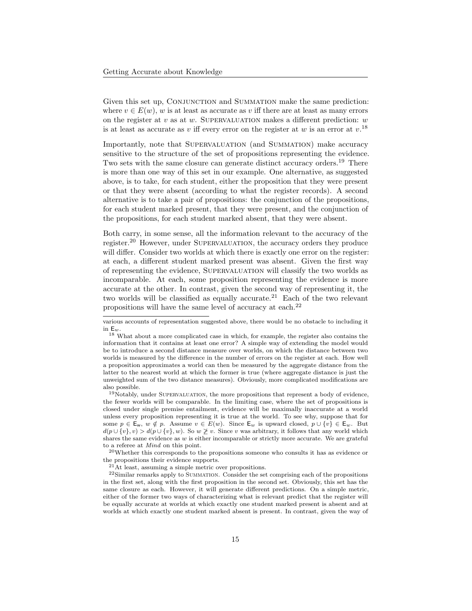Given this set up, CONJUNCTION and SUMMATION make the same prediction: where  $v \in E(w)$ , w is at least as accurate as v iff there are at least as many errors on the register at v as at w. SUPERVALUATION makes a different prediction:  $w$ is at least as accurate as v iff every error on the register at w is an error at  $v^{18}$  $v^{18}$  $v^{18}$ 

Importantly, note that SUPERVALUATION (and SUMMATION) make accuracy sensitive to the structure of the set of propositions representing the evidence. Two sets with the same closure can generate distinct accuracy orders.<sup>[19](#page-14-1)</sup> There is more than one way of this set in our example. One alternative, as suggested above, is to take, for each student, either the proposition that they were present or that they were absent (according to what the register records). A second alternative is to take a pair of propositions: the conjunction of the propositions, for each student marked present, that they were present, and the conjunction of the propositions, for each student marked absent, that they were absent.

Both carry, in some sense, all the information relevant to the accuracy of the register.[20](#page-14-2) However, under Supervaluation, the accuracy orders they produce will differ. Consider two worlds at which there is exactly one error on the register: at each, a different student marked present was absent. Given the first way of representing the evidence, Supervaluation will classify the two worlds as incomparable. At each, some proposition representing the evidence is more accurate at the other. In contrast, given the second way of representing it, the two worlds will be classified as equally accurate.<sup>[21](#page-14-3)</sup> Each of the two relevant propositions will have the same level of accuracy at each.[22](#page-14-4)

<span id="page-14-2"></span> $^{20}$ Whether this corresponds to the propositions someone who consults it has as evidence or the propositions their evidence supports.

<span id="page-14-4"></span><span id="page-14-3"></span><sup>21</sup>At least, assuming a simple metric over propositions.

<sup>22</sup>Similar remarks apply to SUMMATION. Consider the set comprising each of the propositions in the first set, along with the first proposition in the second set. Obviously, this set has the same closure as each. However, it will generate different predictions. On a simple metric, either of the former two ways of characterizing what is relevant predict that the register will be equally accurate at worlds at which exactly one student marked present is absent and at worlds at which exactly one student marked absent is present. In contrast, given the way of

various accounts of representation suggested above, there would be no obstacle to including it in  $\mathsf{E}_w$ 

<span id="page-14-0"></span><sup>18</sup> What about a more complicated case in which, for example, the register also contains the information that it contains at least one error? A simple way of extending the model would be to introduce a second distance measure over worlds, on which the distance between two worlds is measured by the difference in the number of errors on the register at each. How well a proposition approximates a world can then be measured by the aggregate distance from the latter to the nearest world at which the former is true (where aggregate distance is just the unweighted sum of the two distance measures). Obviously, more complicated modifications are also possible.

<span id="page-14-1"></span> $19$ Notably, under SUPERVALUATION, the more propositions that represent a body of evidence, the fewer worlds will be comparable. In the limiting case, where the set of propositions is closed under single premise entailment, evidence will be maximally inaccurate at a world unless every proposition representing it is true at the world. To see why, suppose that for some  $p \in \mathsf{E}_w$ ,  $w \notin p$ . Assume  $v \in E(w)$ . Since  $\mathsf{E}_w$  is upward closed,  $p \cup \{v\} \in \mathsf{E}_w$ . But  $d(p \cup \{v\}, v) > d(p \cup \{v\}, w)$ . So  $w \not\geq v$ . Since v was arbitrary, it follows that any world which shares the same evidence as  $w$  is either incomparable or strictly more accurate. We are grateful to a referee at Mind on this point.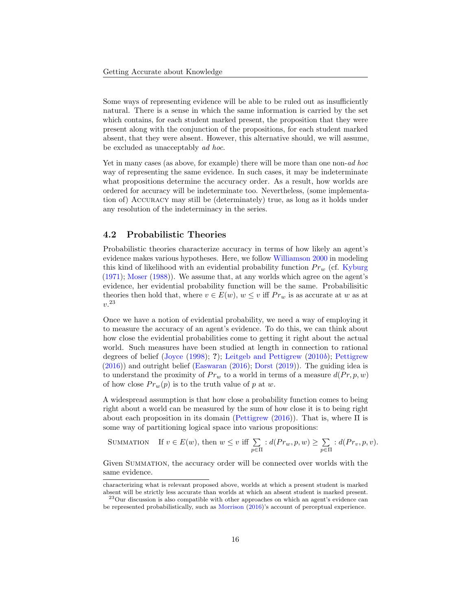Some ways of representing evidence will be able to be ruled out as insufficiently natural. There is a sense in which the same information is carried by the set which contains, for each student marked present, the proposition that they were present along with the conjunction of the propositions, for each student marked absent, that they were absent. However, this alternative should, we will assume, be excluded as unacceptably ad hoc.

Yet in many cases (as above, for example) there will be more than one non-*ad hoc* way of representing the same evidence. In such cases, it may be indeterminate what propositions determine the accuracy order. As a result, how worlds are ordered for accuracy will be indeterminate too. Nevertheless, (some implementation of) Accuracy may still be (determinately) true, as long as it holds under any resolution of the indeterminacy in the series.

### 4.2 Probabilistic Theories

Probabilistic theories characterize accuracy in terms of how likely an agent's evidence makes various hypotheses. Here, we follow [Williamson](#page-27-18) [2000](#page-27-18) in modeling this kind of likelihood with an evidential probability function  $Pr_w$  (cf. [Kyburg](#page-26-20) [\(1971\)](#page-26-20); [Moser](#page-26-21) [\(1988\)](#page-26-21)). We assume that, at any worlds which agree on the agent's evidence, her evidential probability function will be the same. Probabilisitic theories then hold that, where  $v \in E(w)$ ,  $w \leq v$  iff  $Pr_w$  is as accurate at w as at v. [23](#page-15-0)

Once we have a notion of evidential probability, we need a way of employing it to measure the accuracy of an agent's evidence. To do this, we can think about how close the evidential probabilities come to getting it right about the actual world. Such measures have been studied at length in connection to rational degrees of belief [\(Joyce](#page-26-0) [\(1998\)](#page-26-0); ?); [Leitgeb and Pettigrew](#page-26-2) [\(2010](#page-26-2)b); [Pettigrew](#page-27-0) [\(2016\)](#page-27-0)) and outright belief [\(Easwaran](#page-25-16) [\(2016\)](#page-25-16); [Dorst](#page-25-15) [\(2019\)](#page-25-15)). The guiding idea is to understand the proximity of  $Pr_w$  to a world in terms of a measure  $d(Pr, p, w)$ of how close  $Pr_w(p)$  is to the truth value of p at w.

A widespread assumption is that how close a probability function comes to being right about a world can be measured by the sum of how close it is to being right about each proposition in its domain [\(Pettigrew](#page-27-0)  $(2016)$ ). That is, where  $\Pi$  is some way of partitioning logical space into various propositions:

SUMMATION If 
$$
v \in E(w)
$$
, then  $w \le v$  iff  $\sum_{p \in \Pi} : d(Pr_w, p, w) \ge \sum_{p \in \Pi} : d(Pr_v, p, v)$ .

Given Summation, the accuracy order will be connected over worlds with the same evidence.

characterizing what is relevant proposed above, worlds at which a present student is marked absent will be strictly less accurate than worlds at which an absent student is marked present. <sup>23</sup>Our discussion is also compatible with other approaches on which an agent's evidence can

<span id="page-15-0"></span>be represented probabilistically, such as [Morrison](#page-26-22) [\(2016\)](#page-26-22)'s account of perceptual experience.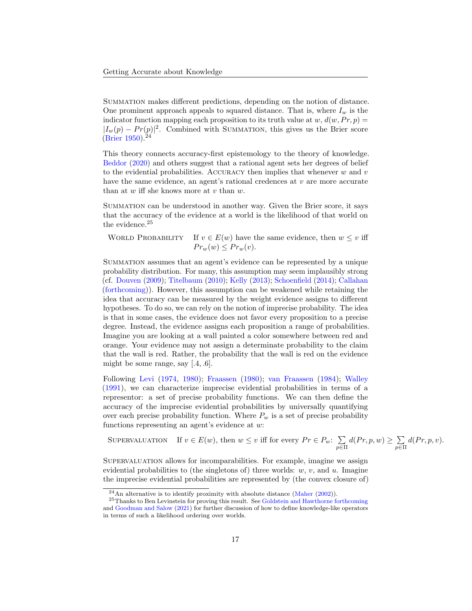Summation makes different predictions, depending on the notion of distance. One prominent approach appeals to squared distance. That is, where  $I_w$  is the indicator function mapping each proposition to its truth value at  $w, d(w, Pr, p) =$  $|I_w(p) - Pr(p)|^2$ . Combined with SUMMATION, this gives us the Brier score [\(Brier](#page-25-17) [1950\)](#page-25-17).<sup>[24](#page-16-0)</sup>

This theory connects accuracy-first epistemology to the theory of knowledge. [Beddor](#page-25-18) [\(2020\)](#page-25-18) and others suggest that a rational agent sets her degrees of belief to the evidential probabilities. ACCURACY then implies that whenever  $w$  and  $v$ have the same evidence, an agent's rational credences at  $v$  are more accurate than at  $w$  iff she knows more at  $v$  than  $w$ .

Summation can be understood in another way. Given the Brier score, it says that the accuracy of the evidence at a world is the likelihood of that world on the evidence.<sup>[25](#page-16-1)</sup>

WORLD PROBABILITY If  $v \in E(w)$  have the same evidence, then  $w \leq v$  iff  $Pr_w(w) \le Pr_w(v)$ .

Summation assumes that an agent's evidence can be represented by a unique probability distribution. For many, this assumption may seem implausibly strong (cf. [Douven](#page-25-19) [\(2009\)](#page-25-19); [Titelbaum](#page-27-23) [\(2010\)](#page-27-23); [Kelly](#page-26-23) [\(2013\)](#page-26-23); [Schoenfield](#page-27-24) [\(2014\)](#page-27-24); [Callahan](#page-25-20) [\(forthcoming\)](#page-25-20)). However, this assumption can be weakened while retaining the idea that accuracy can be measured by the weight evidence assigns to different hypotheses. To do so, we can rely on the notion of imprecise probability. The idea is that in some cases, the evidence does not favor every proposition to a precise degree. Instead, the evidence assigns each proposition a range of probabilities. Imagine you are looking at a wall painted a color somewhere between red and orange. Your evidence may not assign a determinate probability to the claim that the wall is red. Rather, the probability that the wall is red on the evidence might be some range, say  $[.4, .6]$ .

Following [Levi](#page-26-24) [\(1974,](#page-26-24) [1980\)](#page-26-25); [Fraassen](#page-25-21) [\(1980\)](#page-25-21); [van Fraassen](#page-27-25) [\(1984\)](#page-27-25); [Walley](#page-27-26) [\(1991\)](#page-27-26), we can characterize imprecise evidential probabilities in terms of a representor: a set of precise probability functions. We can then define the accuracy of the imprecise evidential probabilities by universally quantifying over each precise probability function. Where  $P_w$  is a set of precise probability functions representing an agent's evidence at w:

SUPERVALUATION If  $v \in E(w)$ , then  $w \leq v$  iff for every  $Pr \in P_w$ :  $\sum$  $_{p\in\Pi}$  $d(Pr, p, w) \geq \sum$  $_{p\in\Pi}$  $d(Pr, p, v).$ 

SUPERVALUATION allows for incomparabilities. For example, imagine we assign evidential probabilities to (the singletons of) three worlds:  $w, v$ , and  $u$ . Imagine the imprecise evidential probabilities are represented by (the convex closure of)

<span id="page-16-1"></span><span id="page-16-0"></span> $^{24}$ An alternative is to identify proximity with absolute distance [\(Maher](#page-26-26) [\(2002\)](#page-26-26)).

<sup>&</sup>lt;sup>25</sup>Thanks to Ben Levinstein for proving this result. See [Goldstein and Hawthorne](#page-25-8) [forthcoming](#page-25-8) and [Goodman and Salow](#page-25-22) [\(2021\)](#page-25-22) for further discussion of how to define knowledge-like operators in terms of such a likelihood ordering over worlds.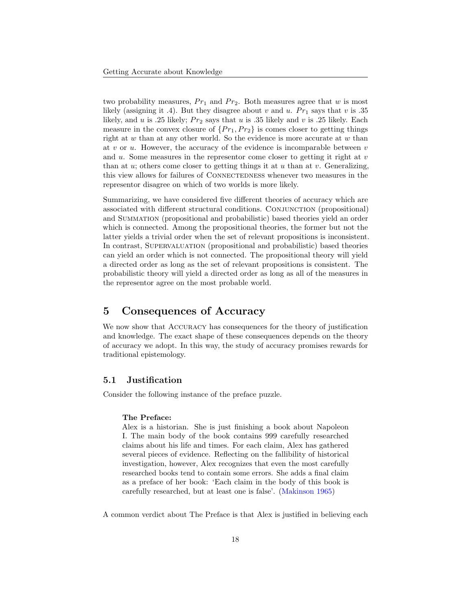two probability measures,  $Pr_1$  and  $Pr_2$ . Both measures agree that w is most likely (assigning it .4). But they disagree about v and u.  $Pr_1$  says that v is .35 likely, and u is .25 likely;  $Pr_2$  says that u is .35 likely and v is .25 likely. Each measure in the convex closure of  $\{Pr_1, Pr_2\}$  is comes closer to getting things right at  $w$  than at any other world. So the evidence is more accurate at  $w$  than at  $v$  or  $u$ . However, the accuracy of the evidence is incomparable between  $v$ and u. Some measures in the representor come closer to getting it right at  $v$ than at  $u$ ; others come closer to getting things it at  $u$  than at  $v$ . Generalizing, this view allows for failures of CONNECTEDNESS whenever two measures in the representor disagree on which of two worlds is more likely.

Summarizing, we have considered five different theories of accuracy which are associated with different structural conditions. Conjunction (propositional) and Summation (propositional and probabilistic) based theories yield an order which is connected. Among the propositional theories, the former but not the latter yields a trivial order when the set of relevant propositions is inconsistent. In contrast, Supervaluation (propositional and probabilistic) based theories can yield an order which is not connected. The propositional theory will yield a directed order as long as the set of relevant propositions is consistent. The probabilistic theory will yield a directed order as long as all of the measures in the representor agree on the most probable world.

## <span id="page-17-0"></span>5 Consequences of Accuracy

We now show that ACCURACY has consequences for the theory of justification and knowledge. The exact shape of these consequences depends on the theory of accuracy we adopt. In this way, the study of accuracy promises rewards for traditional epistemology.

### 5.1 Justification

Consider the following instance of the preface puzzle.

#### The Preface:

Alex is a historian. She is just finishing a book about Napoleon I. The main body of the book contains 999 carefully researched claims about his life and times. For each claim, Alex has gathered several pieces of evidence. Reflecting on the fallibility of historical investigation, however, Alex recognizes that even the most carefully researched books tend to contain some errors. She adds a final claim as a preface of her book: 'Each claim in the body of this book is carefully researched, but at least one is false'. [\(Makinson](#page-26-8) [1965\)](#page-26-8)

A common verdict about The Preface is that Alex is justified in believing each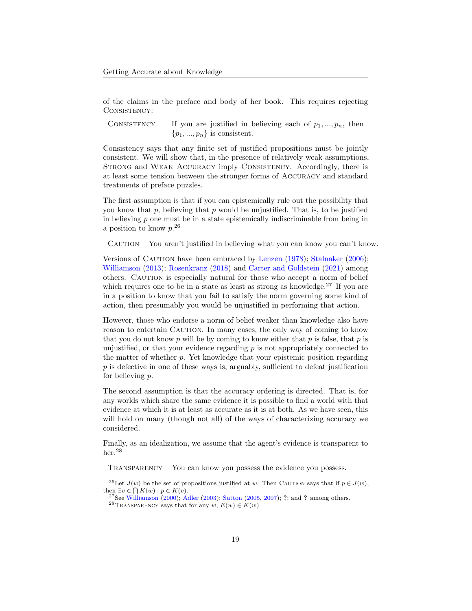of the claims in the preface and body of her book. This requires rejecting CONSISTENCY:

CONSISTENCY If you are justified in believing each of  $p_1, ..., p_n$ , then  $\{p_1, ..., p_n\}$  is consistent.

Consistency says that any finite set of justified propositions must be jointly consistent. We will show that, in the presence of relatively weak assumptions, STRONG and WEAK ACCURACY imply CONSISTENCY. Accordingly, there is at least some tension between the stronger forms of Accuracy and standard treatments of preface puzzles.

The first assumption is that if you can epistemically rule out the possibility that you know that  $p$ , believing that  $p$  would be unjustified. That is, to be justified in believing  $p$  one must be in a state epistemically indiscriminable from being in a position to know  $p^{26}$  $p^{26}$  $p^{26}$ 

Caution You aren't justified in believing what you can know you can't know.

Versions of CAUTION have been embraced by [Lenzen](#page-26-27) [\(1978\)](#page-26-27); [Stalnaker](#page-27-4) [\(2006\)](#page-27-4); [Williamson](#page-27-3) [\(2013\)](#page-27-3); [Rosenkranz](#page-27-27) [\(2018\)](#page-27-27) and [Carter and Goldstein](#page-25-6) [\(2021\)](#page-25-6) among others. CAUTION is especially natural for those who accept a norm of belief which requires one to be in a state as least as strong as knowledge.<sup>[27](#page-18-1)</sup> If you are in a position to know that you fail to satisfy the norm governing some kind of action, then presumably you would be unjustified in performing that action.

However, those who endorse a norm of belief weaker than knowledge also have reason to entertain CAUTION. In many cases, the only way of coming to know that you do not know  $p$  will be by coming to know either that  $p$  is false, that  $p$  is unjustified, or that your evidence regarding  $p$  is not appropriately connected to the matter of whether  $p$ . Yet knowledge that your epistemic position regarding  $p$  is defective in one of these ways is, arguably, sufficient to defeat justification for believing p.

The second assumption is that the accuracy ordering is directed. That is, for any worlds which share the same evidence it is possible to find a world with that evidence at which it is at least as accurate as it is at both. As we have seen, this will hold on many (though not all) of the ways of characterizing accuracy we considered.

Finally, as an idealization, we assume that the agent's evidence is transparent to her.<sup>[28](#page-18-2)</sup>

Transparency You can know you possess the evidence you possess.

<span id="page-18-0"></span><sup>&</sup>lt;sup>26</sup>Let  $J(w)$  be the set of propositions justified at w. Then CAUTION says that if  $p \in J(w)$ , then  $\exists v \in \bigcap K(w) : p \in K(v)$ .

<span id="page-18-1"></span><sup>&</sup>lt;sup>27</sup>See [Williamson](#page-27-18) [\(2000\)](#page-27-18); [Adler](#page-25-23) [\(2003\)](#page-25-23); [Sutton](#page-27-28) [\(2005,](#page-27-28) [2007\)](#page-27-29); ?; and ? among others.

<span id="page-18-2"></span><sup>&</sup>lt;sup>28</sup>TRANSPARENCY says that for any  $w, E(w) \in K(w)$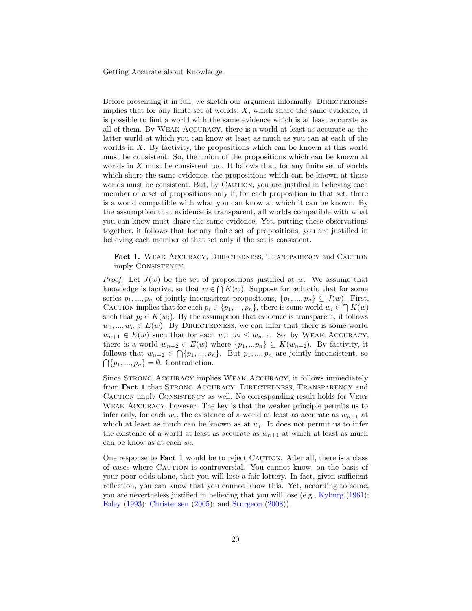Before presenting it in full, we sketch our argument informally. DIRECTEDNESS implies that for any finite set of worlds,  $X$ , which share the same evidence, it is possible to find a world with the same evidence which is at least accurate as all of them. By Weak Accuracy, there is a world at least as accurate as the latter world at which you can know at least as much as you can at each of the worlds in X. By factivity, the propositions which can be known at this world must be consistent. So, the union of the propositions which can be known at worlds in  $X$  must be consistent too. It follows that, for any finite set of worlds which share the same evidence, the propositions which can be known at those worlds must be consistent. But, by CAUTION, you are justified in believing each member of a set of propositions only if, for each proposition in that set, there is a world compatible with what you can know at which it can be known. By the assumption that evidence is transparent, all worlds compatible with what you can know must share the same evidence. Yet, putting these observations together, it follows that for any finite set of propositions, you are justified in believing each member of that set only if the set is consistent.

<span id="page-19-0"></span>Fact 1. WEAK ACCURACY, DIRECTEDNESS, TRANSPARENCY and CAUTION imply Consistency.

*Proof:* Let  $J(w)$  be the set of propositions justified at w. We assume that knowledge is factive, so that  $w \in \bigcap K(w)$ . Suppose for reductio that for some series  $p_1, ..., p_n$  of jointly inconsistent propositions,  $\{p_1, ..., p_n\} \subseteq J(w)$ . First, CAUTION implies that for each  $p_i \in \{p_1, ..., p_n\}$ , there is some world  $w_i \in \bigcap K(w)$ such that  $p_i \in K(w_i)$ . By the assumption that evidence is transparent, it follows  $w_1, ..., w_n \in E(w)$ . By DIRECTEDNESS, we can infer that there is some world  $w_{n+1} \in E(w)$  such that for each  $w_i$ :  $w_i \leq w_{n+1}$ . So, by WEAK ACCURACY, there is a world  $w_{n+2} \in E(w)$  where  $\{p_1, ... p_n\} \subseteq K(w_{n+2})$ . By factivity, it follows that  $w_{n+2} \in \bigcap \{p_1, ..., p_n\}$ . But  $p_1, ..., p_n$  are jointly inconsistent, so  $\bigcap \{p_1, ..., p_n\} = \emptyset$ . Contradiction.

Since STRONG ACCURACY implies WEAK ACCURACY, it follows immediately from Fact [1](#page-19-0) that STRONG ACCURACY, DIRECTEDNESS, TRANSPARENCY and Caution imply Consistency as well. No corresponding result holds for Very Weak Accuracy, however. The key is that the weaker principle permits us to infer only, for each  $w_i$ , the existence of a world at least as accurate as  $w_{n+1}$  at which at least as much can be known as at  $w_i$ . It does not permit us to infer the existence of a world at least as accurate as  $w_{n+1}$  at which at least as much can be know as at each  $w_i$ .

One response to **Fact [1](#page-19-0)** would be to reject CAUTION. After all, there is a class of cases where CAUTION is controversial. You cannot know, on the basis of your poor odds alone, that you will lose a fair lottery. In fact, given sufficient reflection, you can know that you cannot know this. Yet, according to some, you are nevertheless justified in believing that you will lose (e.g., [Kyburg](#page-26-28) [\(1961\)](#page-26-28); [Foley](#page-25-24) [\(1993\)](#page-25-24); [Christensen](#page-25-25) [\(2005\)](#page-25-25); and [Sturgeon](#page-27-30) [\(2008\)](#page-27-30)).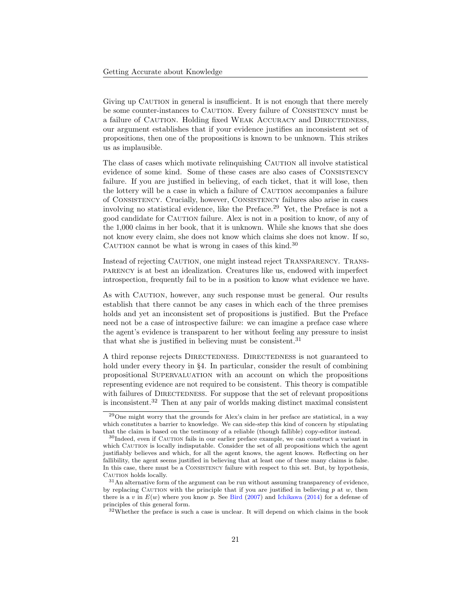Giving up CAUTION in general is insufficient. It is not enough that there merely be some counter-instances to CAUTION. Every failure of CONSISTENCY must be a failure of CAUTION. Holding fixed WEAK ACCURACY and DIRECTEDNESS, our argument establishes that if your evidence justifies an inconsistent set of propositions, then one of the propositions is known to be unknown. This strikes us as implausible.

The class of cases which motivate relinquishing CAUTION all involve statistical evidence of some kind. Some of these cases are also cases of Consistency failure. If you are justified in believing, of each ticket, that it will lose, then the lottery will be a case in which a failure of CAUTION accompanies a failure of Consistency. Crucially, however, Consistency failures also arise in cases involving no statistical evidence, like the Preface.[29](#page-20-0) Yet, the Preface is not a good candidate for CAUTION failure. Alex is not in a position to know, of any of the 1,000 claims in her book, that it is unknown. While she knows that she does not know every claim, she does not know which claims she does not know. If so, CAUTION cannot be what is wrong in cases of this kind. $30$ 

Instead of rejecting CAUTION, one might instead reject TRANSPARENCY. TRANSparency is at best an idealization. Creatures like us, endowed with imperfect introspection, frequently fail to be in a position to know what evidence we have.

As with CAUTION, however, any such response must be general. Our results establish that there cannot be any cases in which each of the three premises holds and yet an inconsistent set of propositions is justified. But the Preface need not be a case of introspective failure: we can imagine a preface case where the agent's evidence is transparent to her without feeling any pressure to insist that what she is justified in believing must be consistent.<sup>[31](#page-20-2)</sup>

A third reponse rejects DIRECTEDNESS. DIRECTEDNESS is not guaranteed to hold under every theory in §[4.](#page-8-0) In particular, consider the result of combining propositional Supervaluation with an account on which the propositions representing evidence are not required to be consistent. This theory is compatible with failures of DIRECTEDNESS. For suppose that the set of relevant propositions is inconsistent.[32](#page-20-3) Then at any pair of worlds making distinct maximal consistent

<span id="page-20-0"></span><sup>29</sup>One might worry that the grounds for Alex's claim in her preface are statistical, in a way which constitutes a barrier to knowledge. We can side-step this kind of concern by stipulating that the claim is based on the testimony of a reliable (though fallible) copy-editor instead.

<span id="page-20-1"></span><sup>&</sup>lt;sup>30</sup>Indeed, even if CAUTION fails in our earlier preface example, we can construct a variant in which CAUTION is locally indisputable. Consider the set of all propositions which the agent justifiably believes and which, for all the agent knows, the agent knows. Reflecting on her fallibility, the agent seems justified in believing that at least one of these many claims is false. In this case, there must be a Consistency failure with respect to this set. But, by hypothesis, CAUTION holds locally.

<span id="page-20-2"></span><sup>31</sup>An alternative form of the argument can be run without assuming transparency of evidence, by replacing CAUTION with the principle that if you are justified in believing  $p$  at  $w$ , then there is a v in  $E(w)$  where you know p. See [Bird](#page-25-26) [\(2007\)](#page-25-26) and [Ichikawa](#page-26-29) [\(2014\)](#page-26-29) for a defense of principles of this general form.

<span id="page-20-3"></span><sup>32</sup>Whether the preface is such a case is unclear. It will depend on which claims in the book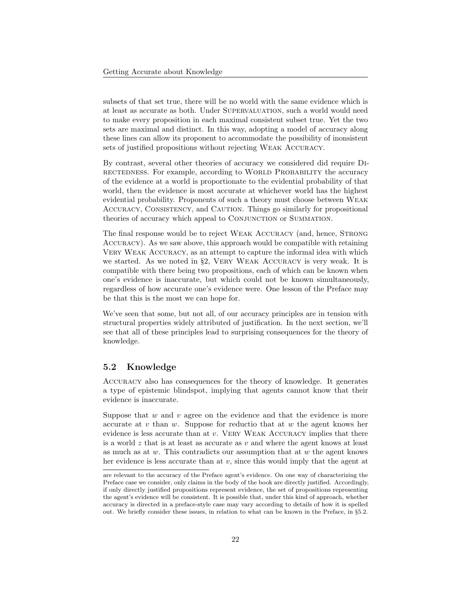subsets of that set true, there will be no world with the same evidence which is at least as accurate as both. Under Supervaluation, such a world would need to make every proposition in each maximal consistent subset true. Yet the two sets are maximal and distinct. In this way, adopting a model of accuracy along these lines can allow its proponent to accommodate the possibility of inonsistent sets of justified propositions without rejecting Weak Accuracy.

By contrast, several other theories of accuracy we considered did require Directedness. For example, according to World Probability the accuracy of the evidence at a world is proportionate to the evidential probability of that world, then the evidence is most accurate at whichever world has the highest evidential probability. Proponents of such a theory must choose between Weak Accuracy, Consistency, and Caution. Things go similarly for propositional theories of accuracy which appeal to CONJUNCTION or SUMMATION.

The final response would be to reject WEAK ACCURACY (and, hence, STRONG Accuracy). As we saw above, this approach would be compatible with retaining Very Weak Accuracy, as an attempt to capture the informal idea with which we started. As we noted in §[2,](#page-1-0) VERY WEAK ACCURACY is very weak. It is compatible with there being two propositions, each of which can be known when one's evidence is inaccurate, but which could not be known simultaneously, regardless of how accurate one's evidence were. One lesson of the Preface may be that this is the most we can hope for.

We've seen that some, but not all, of our accuracy principles are in tension with structural properties widely attributed of justification. In the next section, we'll see that all of these principles lead to surprising consequences for the theory of knowledge.

### <span id="page-21-0"></span>5.2 Knowledge

Accuracy also has consequences for the theory of knowledge. It generates a type of epistemic blindspot, implying that agents cannot know that their evidence is inaccurate.

Suppose that  $w$  and  $v$  agree on the evidence and that the evidence is more accurate at  $v$  than  $w$ . Suppose for reductio that at  $w$  the agent knows her evidence is less accurate than at  $v$ . VERY WEAK ACCURACY implies that there is a world  $z$  that is at least as accurate as  $v$  and where the agent knows at least as much as at  $w$ . This contradicts our assumption that at  $w$  the agent knows her evidence is less accurate than at v, since this would imply that the agent at

are relevant to the accuracy of the Preface agent's evidence. On one way of characterizing the Preface case we consider, only claims in the body of the book are directly justified. Accordingly, if only directly justified propositions represent evidence, the set of propositions representing the agent's evidence will be consistent. It is possible that, under this kind of approach, whether accuracy is directed in a preface-style case may vary according to details of how it is spelled out. We briefly consider these issues, in relation to what can be known in the Preface, in §[5.2.](#page-21-0)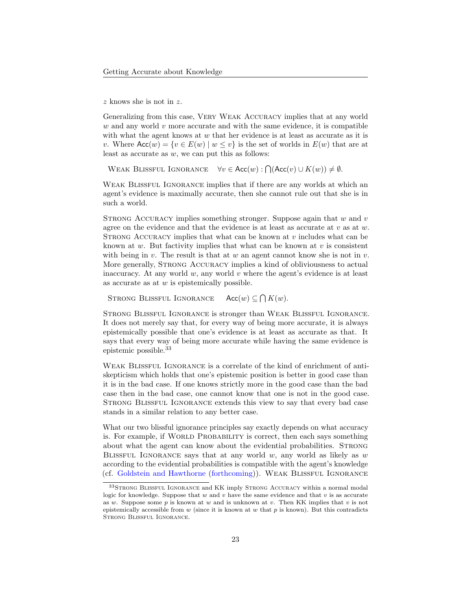z knows she is not in z.

Generalizing from this case, Very Weak Accuracy implies that at any world  $w$  and any world  $v$  more accurate and with the same evidence, it is compatible with what the agent knows at  $w$  that her evidence is at least as accurate as it is v. Where  $Acc(w) = \{v \in E(w) \mid w \leq v\}$  is the set of worlds in  $E(w)$  that are at least as accurate as  $w$ , we can put this as follows:

WEAK BLISSFUL IGNORANCE  $\forall v \in Acc(w) : \bigcap (Acc(v) \cup K(w)) \neq \emptyset$ .

WEAK BLISSFUL IGNORANCE implies that if there are any worlds at which an agent's evidence is maximally accurate, then she cannot rule out that she is in such a world.

STRONG ACCURACY implies something stronger. Suppose again that  $w$  and  $v$ agree on the evidence and that the evidence is at least as accurate at  $v$  as at  $w$ . STRONG ACCURACY implies that what can be known at  $v$  includes what can be known at  $w$ . But factivity implies that what can be known at  $v$  is consistent with being in  $v$ . The result is that at  $w$  an agent cannot know she is not in  $v$ . More generally, STRONG ACCURACY implies a kind of obliviousness to actual inaccuracy. At any world  $w$ , any world  $v$  where the agent's evidence is at least as accurate as at  $w$  is epistemically possible.

```
STRONG BLISSFUL IGNORANCE
                               \bigcap K(w).
```
Strong Blissful Ignorance is stronger than Weak Blissful Ignorance. It does not merely say that, for every way of being more accurate, it is always epistemically possible that one's evidence is at least as accurate as that. It says that every way of being more accurate while having the same evidence is epistemic possible.[33](#page-22-0)

WEAK BLISSFUL IGNORANCE is a correlate of the kind of enrichment of antiskepticism which holds that one's epistemic position is better in good case than it is in the bad case. If one knows strictly more in the good case than the bad case then in the bad case, one cannot know that one is not in the good case. STRONG BLISSFUL IGNORANCE extends this view to say that every bad case stands in a similar relation to any better case.

What our two blissful ignorance principles say exactly depends on what accuracy is. For example, if WORLD PROBABILITY is correct, then each says something about what the agent can know about the evidential probabilities. Strong BLISSFUL IGNORANCE says that at any world w, any world as likely as  $w$ according to the evidential probabilities is compatible with the agent's knowledge (cf. [Goldstein and Hawthorne](#page-25-8) [\(forthcoming\)](#page-25-8)). Weak Blissful Ignorance

<span id="page-22-0"></span> $^{33}\rm{STRONG}$  BLISSFUL IGNORANCE and KK imply STRONG ACCURACY within a normal modal logic for knowledge. Suppose that  $w$  and  $v$  have the same evidence and that  $v$  is as accurate as w. Suppose some  $p$  is known at w and is unknown at v. Then KK implies that v is not epistemically accessible from  $w$  (since it is known at  $w$  that  $p$  is known). But this contradicts Strong Blissful Ignorance.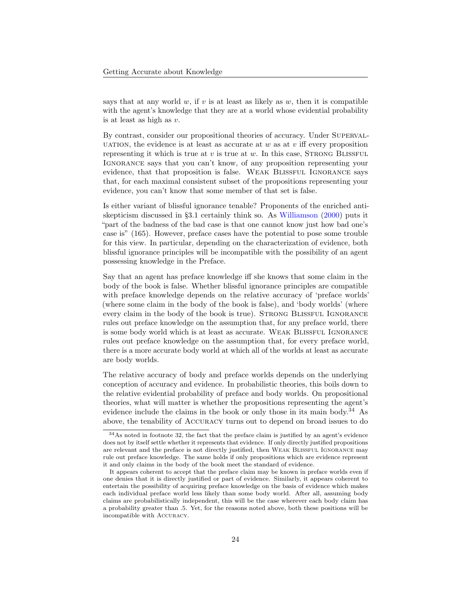says that at any world  $w$ , if  $v$  is at least as likely as  $w$ , then it is compatible with the agent's knowledge that they are at a world whose evidential probability is at least as high as v.

By contrast, consider our propositional theories of accuracy. Under SUPERVAL-UATION, the evidence is at least as accurate at w as at v iff every proposition representing it which is true at  $v$  is true at  $w$ . In this case, STRONG BLISSFUL IGNORANCE says that you can't know, of any proposition representing your evidence, that that proposition is false. Weak Blissful Ignorance says that, for each maximal consistent subset of the propositions representing your evidence, you can't know that some member of that set is false.

Is either variant of blissful ignorance tenable? Proponents of the enriched antiskepticism discussed in §[3.1](#page-4-2) certainly think so. As [Williamson](#page-27-18) [\(2000\)](#page-27-18) puts it "part of the badness of the bad case is that one cannot know just how bad one's case is" (165). However, preface cases have the potential to pose some trouble for this view. In particular, depending on the characterization of evidence, both blissful ignorance principles will be incompatible with the possibility of an agent possessing knowledge in the Preface.

Say that an agent has preface knowledge iff she knows that some claim in the body of the book is false. Whether blissful ignorance principles are compatible with preface knowledge depends on the relative accuracy of 'preface worlds' (where some claim in the body of the book is false), and 'body worlds' (where every claim in the body of the book is true). STRONG BLISSFUL IGNORANCE rules out preface knowledge on the assumption that, for any preface world, there is some body world which is at least as accurate. Weak Blissful Ignorance rules out preface knowledge on the assumption that, for every preface world, there is a more accurate body world at which all of the worlds at least as accurate are body worlds.

The relative accuracy of body and preface worlds depends on the underlying conception of accuracy and evidence. In probabilistic theories, this boils down to the relative evidential probability of preface and body worlds. On propositional theories, what will matter is whether the propositions representing the agent's evidence include the claims in the book or only those in its main body.<sup>[34](#page-23-0)</sup> As above, the tenability of Accuracy turns out to depend on broad issues to do

<span id="page-23-0"></span><sup>34</sup>As noted in footnote [32,](#page-20-3) the fact that the preface claim is justified by an agent's evidence does not by itself settle whether it represents that evidence. If only directly justified propositions are relevant and the preface is not directly justified, then Weak Blissful Ignorance may rule out preface knowledge. The same holds if only propositions which are evidence represent it and only claims in the body of the book meet the standard of evidence.

It appears coherent to accept that the preface claim may be known in preface worlds even if one denies that it is directly justified or part of evidence. Similarly, it appears coherent to entertain the possibility of acquiring preface knowledge on the basis of evidence which makes each individual preface world less likely than some body world. After all, assuming body claims are probabilistically independent, this will be the case wherever each body claim has a probability greater than .5. Yet, for the reasons noted above, both these positions will be incompatible with Accuracy.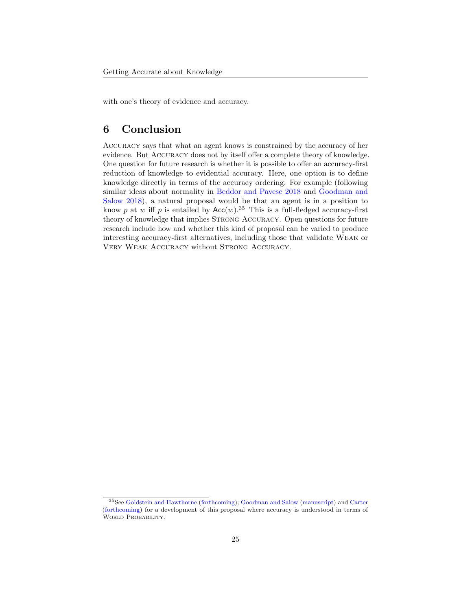with one's theory of evidence and accuracy.

# 6 Conclusion

Accuracy says that what an agent knows is constrained by the accuracy of her evidence. But Accuracy does not by itself offer a complete theory of knowledge. One question for future research is whether it is possible to offer an accuracy-first reduction of knowledge to evidential accuracy. Here, one option is to define knowledge directly in terms of the accuracy ordering. For example (following similar ideas about normality in [Beddor and Pavese](#page-25-5) [2018](#page-25-5) and [Goodman and](#page-25-2) [Salow](#page-25-2) [2018\)](#page-25-2), a natural proposal would be that an agent is in a position to know p at w iff p is entailed by  $Acc(w)$ .<sup>[35](#page-24-0)</sup> This is a full-fledged accuracy-first theory of knowledge that implies STRONG ACCURACY. Open questions for future research include how and whether this kind of proposal can be varied to produce interesting accuracy-first alternatives, including those that validate Weak or VERY WEAK ACCURACY without STRONG ACCURACY.

<span id="page-24-0"></span><sup>35</sup>See [Goldstein and Hawthorne](#page-25-8) [\(forthcoming\)](#page-25-8); [Goodman and Salow](#page-25-3) [\(manuscript\)](#page-25-3) and [Carter](#page-25-27) [\(forthcoming\)](#page-25-27) for a development of this proposal where accuracy is understood in terms of WORLD PROBABILITY.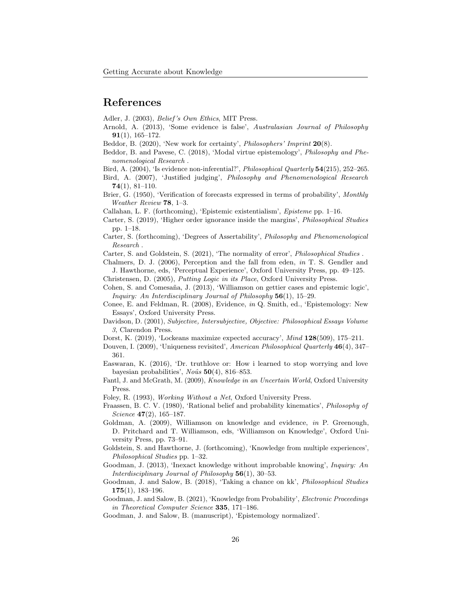### References

<span id="page-25-23"></span>Adler, J. (2003), Belief 's Own Ethics, MIT Press.

- <span id="page-25-11"></span>Arnold, A. (2013), 'Some evidence is false', Australasian Journal of Philosophy 91(1), 165–172.
- <span id="page-25-18"></span>Beddor, B. (2020), 'New work for certainty', *Philosophers' Imprint* 20(8).
- <span id="page-25-5"></span>Beddor, B. and Pavese, C. (2018), 'Modal virtue epistemology', Philosophy and Phenomenological Research .

<span id="page-25-12"></span>Bird, A. (2004), 'Is evidence non-inferential?', Philosophical Quarterly 54(215), 252–265.

- <span id="page-25-26"></span>Bird, A. (2007), 'Justified judging', Philosophy and Phenomenological Research 74(1), 81–110.
- <span id="page-25-17"></span>Brier, G. (1950), 'Verification of forecasts expressed in terms of probability', Monthly Weather Review 78, 1–3.
- <span id="page-25-20"></span>Callahan, L. F. (forthcoming), 'Epistemic existentialism', Episteme pp. 1–16.
- <span id="page-25-7"></span>Carter, S. (2019), 'Higher order ignorance inside the margins', Philosophical Studies pp. 1–18.
- <span id="page-25-27"></span>Carter, S. (forthcoming), 'Degrees of Assertability', Philosophy and Phenomenological Research .
- <span id="page-25-6"></span>Carter, S. and Goldstein, S. (2021), 'The normality of error', *Philosophical Studies*.
- <span id="page-25-0"></span>Chalmers, D. J. (2006), Perception and the fall from eden, in T. S. Gendler and J. Hawthorne, eds, 'Perceptual Experience', Oxford University Press, pp. 49–125.
- <span id="page-25-25"></span>Christensen, D. (2005), Putting Logic in its Place, Oxford University Press.
- <span id="page-25-4"></span>Cohen, S. and Comesaña, J. (2013), 'Williamson on gettier cases and epistemic logic', Inquiry: An Interdisciplinary Journal of Philosophy 56(1), 15–29.
- <span id="page-25-14"></span>Conee, E. and Feldman, R. (2008), Evidence, in Q. Smith, ed., 'Epistemology: New Essays', Oxford University Press.
- <span id="page-25-13"></span>Davidson, D. (2001), Subjective, Intersubjective, Objective: Philosophical Essays Volume 3, Clarendon Press.
- <span id="page-25-15"></span>Dorst, K. (2019), 'Lockeans maximize expected accuracy', Mind 128(509), 175–211.
- <span id="page-25-19"></span>Douven, I. (2009), 'Uniqueness revisited', American Philosophical Quarterly 46(4), 347– 361.
- <span id="page-25-16"></span>Easwaran, K. (2016), 'Dr. truthlove or: How i learned to stop worrying and love bayesian probabilities', Noûs  $50(4)$ , 816–853.
- <span id="page-25-10"></span>Fantl, J. and McGrath, M. (2009), Knowledge in an Uncertain World, Oxford University Press.
- <span id="page-25-24"></span>Foley, R. (1993), Working Without a Net, Oxford University Press.
- <span id="page-25-21"></span>Fraassen, B. C. V. (1980), 'Rational belief and probability kinematics', Philosophy of Science 47(2), 165–187.
- <span id="page-25-9"></span>Goldman, A. (2009), Williamson on knowledge and evidence, in P. Greenough, D. Pritchard and T. Williamson, eds, 'Williamson on Knowledge', Oxford University Press, pp. 73–91.
- <span id="page-25-8"></span>Goldstein, S. and Hawthorne, J. (forthcoming), 'Knowledge from multiple experiences', Philosophical Studies pp. 1–32.
- <span id="page-25-1"></span>Goodman, J. (2013), 'Inexact knowledge without improbable knowing', Inquiry: An Interdisciplinary Journal of Philosophy  $56(1)$ , 30–53.
- <span id="page-25-2"></span>Goodman, J. and Salow, B. (2018), 'Taking a chance on kk', Philosophical Studies  $175(1), 183-196.$
- <span id="page-25-22"></span>Goodman, J. and Salow, B. (2021), 'Knowledge from Probability', Electronic Proceedings in Theoretical Computer Science 335, 171–186.
- <span id="page-25-3"></span>Goodman, J. and Salow, B. (manuscript), 'Epistemology normalized'.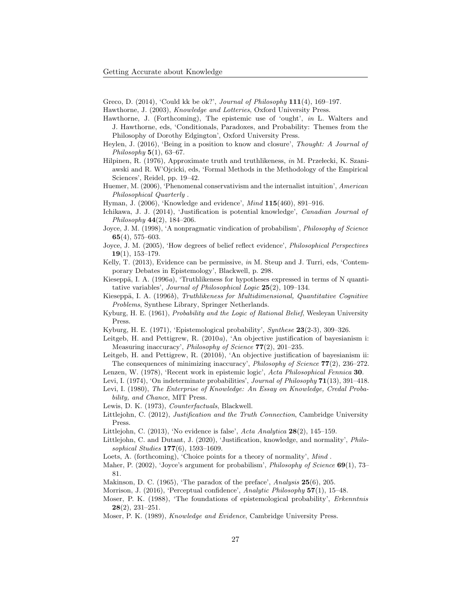<span id="page-26-6"></span>Greco, D. (2014), 'Could kk be ok?', Journal of Philosophy 111(4), 169-197.

- <span id="page-26-9"></span>Hawthorne, J. (2003), Knowledge and Lotteries, Oxford University Press.
- <span id="page-26-5"></span>Hawthorne, J. (Forthcoming), The epistemic use of 'ought', in L. Walters and J. Hawthorne, eds, 'Conditionals, Paradoxes, and Probability: Themes from the Philosophy of Dorothy Edgington', Oxford University Press.
- <span id="page-26-4"></span>Heylen, J. (2016), 'Being in a position to know and closure', Thought: A Journal of Philosophy  $5(1)$ , 63-67.
- <span id="page-26-10"></span>Hilpinen, R. (1976), Approximate truth and truthlikeness, in M. Przełecki, K. Szaniawski and R. W'Ojcicki, eds, 'Formal Methods in the Methodology of the Empirical Sciences', Reidel, pp. 19–42.
- <span id="page-26-16"></span>Huemer, M. (2006), 'Phenomenal conservativism and the internalist intuition', American Philosophical Quarterly .
- <span id="page-26-12"></span>Hyman, J. (2006), 'Knowledge and evidence', Mind 115(460), 891–916.
- <span id="page-26-29"></span>Ichikawa, J. J. (2014), 'Justification is potential knowledge', Canadian Journal of Philosophy 44(2), 184–206.
- <span id="page-26-0"></span>Joyce, J. M. (1998), 'A nonpragmatic vindication of probabilism', Philosophy of Science 65(4), 575–603.
- <span id="page-26-17"></span>Joyce, J. M. (2005), 'How degrees of belief reflect evidence', Philosophical Perspectives  $19(1)$ , 153-179.
- <span id="page-26-23"></span>Kelly, T. (2013), Evidence can be permissive, in M. Steup and J. Turri, eds, 'Contemporary Debates in Epistemology', Blackwell, p. 298.
- <span id="page-26-19"></span>Kieseppä, I. A. (1996 $a$ ), 'Truthlikeness for hypotheses expressed in terms of N quantitative variables', Journal of Philosophical Logic 25(2), 109–134.
- <span id="page-26-18"></span>Kieseppä, I. A. (1996b), Truthlikeness for Multidimensional, Quantitative Cognitive Problems, Synthese Library, Springer Netherlands.
- <span id="page-26-28"></span>Kyburg, H. E. (1961), Probability and the Logic of Rational Belief, Wesleyan University Press.
- <span id="page-26-20"></span>Kyburg, H. E. (1971), 'Epistemological probability', Synthese 23(2-3), 309–326.
- <span id="page-26-1"></span>Leitgeb, H. and Pettigrew, R. (2010a), 'An objective justification of bayesianism i: Measuring inaccuracy', Philosophy of Science 77(2), 201–235.
- <span id="page-26-2"></span>Leitgeb, H. and Pettigrew, R. (2010b), 'An objective justification of bayesianism ii: The consequences of minimizing inaccuracy', *Philosophy of Science*  $77(2)$ , 236–272.
- <span id="page-26-27"></span>Lenzen, W. (1978), 'Recent work in epistemic logic', Acta Philosophical Fennica 30.

<span id="page-26-24"></span>Levi, I. (1974), 'On indeterminate probabilities', Journal of Philosophy 71(13), 391–418.

<span id="page-26-25"></span>Levi, I. (1980), The Enterprise of Knowledge: An Essay on Knowledge, Credal Probability, and Chance, MIT Press.

<span id="page-26-11"></span>Lewis, D. K. (1973), Counterfactuals, Blackwell.

- <span id="page-26-13"></span>Littlejohn, C. (2012), Justification and the Truth Connection, Cambridge University Press.
- <span id="page-26-14"></span>Littlejohn, C. (2013), 'No evidence is false', Acta Analytica 28(2), 145–159.
- <span id="page-26-3"></span>Littlejohn, C. and Dutant, J. (2020), 'Justification, knowledge, and normality', Philosophical Studies 177(6), 1593–1609.
- <span id="page-26-7"></span>Loets, A. (forthcoming), 'Choice points for a theory of normality', Mind.
- <span id="page-26-26"></span>Maher, P. (2002), 'Joyce's argument for probabilism', *Philosophy of Science* **69**(1), 73– 81.
- <span id="page-26-8"></span>Makinson, D. C. (1965), 'The paradox of the preface', Analysis  $25(6)$ , 205.
- <span id="page-26-22"></span>Morrison, J. (2016), 'Perceptual confidence', Analytic Philosophy 57(1), 15–48.
- <span id="page-26-21"></span>Moser, P. K. (1988), 'The foundations of epistemological probability', Erkenntnis 28(2), 231–251.
- <span id="page-26-15"></span>Moser, P. K. (1989), Knowledge and Evidence, Cambridge University Press.